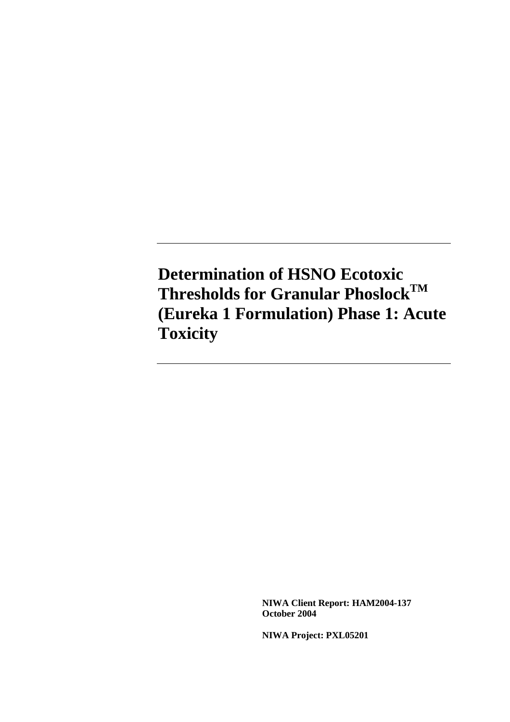**Determination of HSNO Ecotoxic Thresholds for Granular PhoslockTM (Eureka 1 Formulation) Phase 1: Acute Toxicity** 

> **NIWA Client Report: HAM2004-137 October 2004**

**NIWA Project: PXL05201**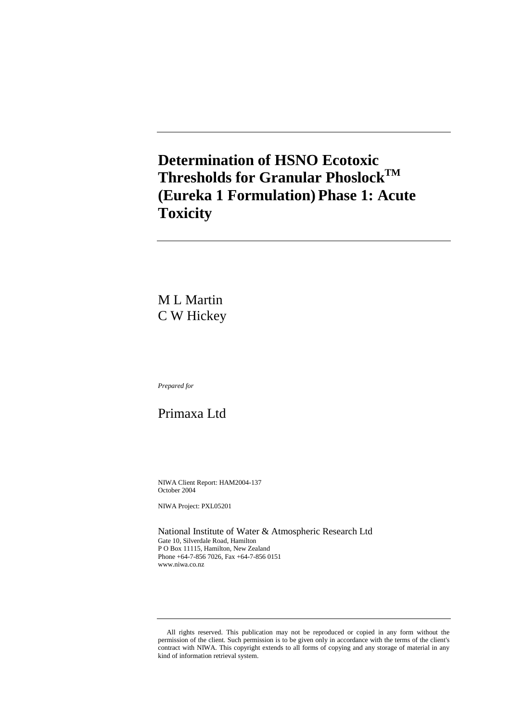## **Determination of HSNO Ecotoxic Thresholds for Granular PhoslockTM (Eureka 1 Formulation) Phase 1: Acute Toxicity**

M L Martin C W Hickey

*Prepared for* 

## Primaxa Ltd

NIWA Client Report: HAM2004-137 October 2004

NIWA Project: PXL05201

National Institute of Water & Atmospheric Research Ltd Gate 10, Silverdale Road, Hamilton P O Box 11115, Hamilton, New Zealand Phone +64-7-856 7026, Fax +64-7-856 0151 www.niwa.co.nz

All rights reserved. This publication may not be reproduced or copied in any form without the permission of the client. Such permission is to be given only in accordance with the terms of the client's contract with NIWA. This copyright extends to all forms of copying and any storage of material in any kind of information retrieval system.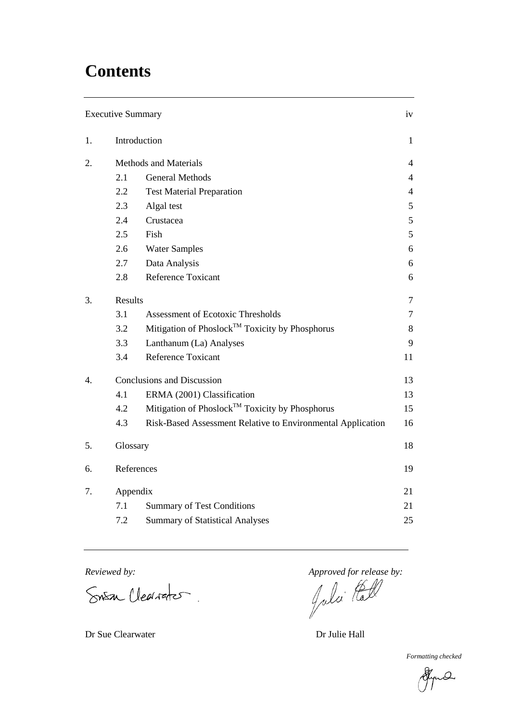# **Contents**

|    | <b>Executive Summary</b> |                                                             | iv             |  |  |
|----|--------------------------|-------------------------------------------------------------|----------------|--|--|
| 1. |                          | Introduction                                                | $\mathbf{1}$   |  |  |
| 2. |                          | <b>Methods and Materials</b>                                | $\overline{4}$ |  |  |
|    | 2.1                      | <b>General Methods</b>                                      | $\overline{4}$ |  |  |
|    | 2.2                      | <b>Test Material Preparation</b>                            | $\overline{4}$ |  |  |
|    | 2.3                      | Algal test                                                  | 5              |  |  |
|    | 2.4                      | Crustacea                                                   | 5              |  |  |
|    | 2.5                      | Fish                                                        | 5              |  |  |
|    | 2.6                      | <b>Water Samples</b>                                        | 6              |  |  |
|    | 2.7                      | Data Analysis                                               | 6              |  |  |
|    | 2.8                      | <b>Reference Toxicant</b>                                   | 6              |  |  |
| 3. | Results                  |                                                             | $\overline{7}$ |  |  |
|    | 3.1                      | <b>Assessment of Ecotoxic Thresholds</b>                    | 7              |  |  |
|    | 3.2                      | Mitigation of Phoslock™ Toxicity by Phosphorus              | 8              |  |  |
|    | 3.3                      | Lanthanum (La) Analyses                                     | 9              |  |  |
|    | 3.4                      | <b>Reference Toxicant</b>                                   | 11             |  |  |
| 4. |                          | <b>Conclusions and Discussion</b>                           | 13             |  |  |
|    | 4.1                      | ERMA (2001) Classification                                  | 13             |  |  |
|    | 4.2                      | Mitigation of Phoslock™ Toxicity by Phosphorus              | 15             |  |  |
|    | 4.3                      | Risk-Based Assessment Relative to Environmental Application | 16             |  |  |
| 5. | Glossary                 |                                                             | 18             |  |  |
| 6. | References               |                                                             | 19             |  |  |
| 7. |                          | Appendix                                                    |                |  |  |
|    | 7.1                      | <b>Summary of Test Conditions</b>                           | 21             |  |  |
|    | 7.2                      | <b>Summary of Statistical Analyses</b>                      | 25             |  |  |

SNEM Clearater.

*Reviewed by: Approved for release by:*<br>
SAR Cleated The *Approved for release by:* 

*Formatting checked*

Hyu O

Dr Sue Clearwater Dr Julie Hall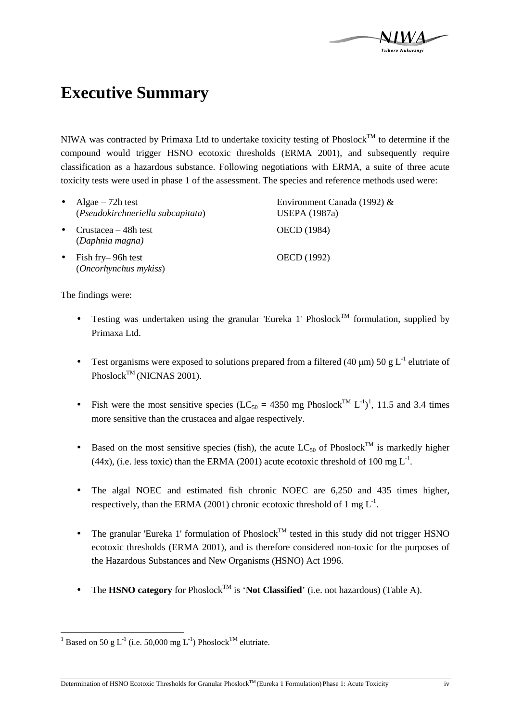# **Executive Summary**

NIWA was contracted by Primaxa Ltd to undertake toxicity testing of Phoslock<sup>TM</sup> to determine if the compound would trigger HSNO ecotoxic thresholds (ERMA 2001), and subsequently require classification as a hazardous substance. Following negotiations with ERMA, a suite of three acute toxicity tests were used in phase 1 of the assessment. The species and reference methods used were:

| $\bullet$ | Algae $-72h$ test<br>(Pseudokirchneriella subcapitata) | Environment Canada (1992) $&$<br><b>USEPA</b> (1987a) |
|-----------|--------------------------------------------------------|-------------------------------------------------------|
| $\bullet$ | Crustacea $-48h$ test<br>(Daphnia magna)               | OECD (1984)                                           |
|           | $\bullet$ Fish fry–96h test<br>(Oncorhynchus mykiss)   | OECD (1992)                                           |

The findings were:

- Testing was undertaken using the granular 'Eureka 1' Phoslock<sup>TM</sup> formulation, supplied by Primaxa Ltd.
- Test organisms were exposed to solutions prepared from a filtered (40  $\mu$ m) 50 g L<sup>-1</sup> elutriate of Phoslock<sup>TM</sup> (NICNAS 2001).
- Fish were the most sensitive species (LC<sub>50</sub> = 4350 mg Phoslock<sup>TM</sup> L<sup>-1</sup>)<sup>1</sup>, 11.5 and 3.4 times more sensitive than the crustacea and algae respectively.
- Based on the most sensitive species (fish), the acute  $LC_{50}$  of Phoslock<sup>TM</sup> is markedly higher (44x), (i.e. less toxic) than the ERMA (2001) acute ecotoxic threshold of 100 mg  $L^{-1}$ .
- The algal NOEC and estimated fish chronic NOEC are 6,250 and 435 times higher, respectively, than the ERMA (2001) chronic ecotoxic threshold of 1 mg  $L^{-1}$ .
- The granular 'Eureka 1' formulation of  $Phoslock^{TM}$  tested in this study did not trigger HSNO ecotoxic thresholds (ERMA 2001), and is therefore considered non-toxic for the purposes of the Hazardous Substances and New Organisms (HSNO) Act 1996.
- The **HSNO category** for Phoslock<sup>TM</sup> is '**Not Classified**' (i.e. not hazardous) (Table A).

<sup>&</sup>lt;sup>1</sup> Based on 50 g L<sup>-1</sup> (i.e. 50,000 mg L<sup>-1</sup>) Phoslock<sup>TM</sup> elutriate.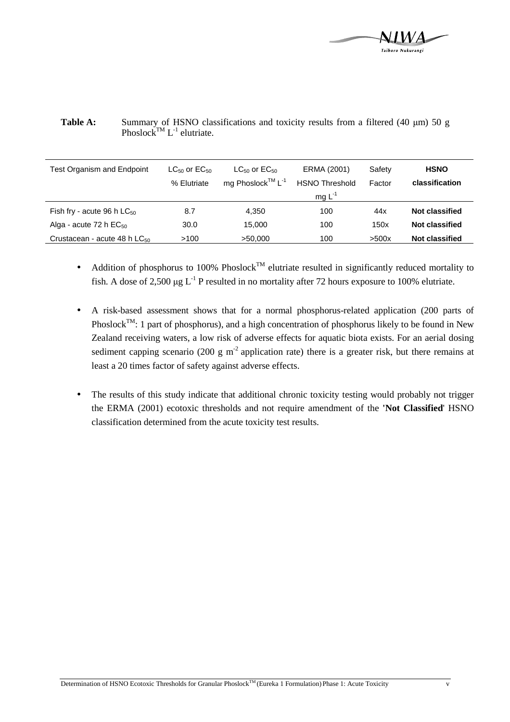

| <b>Test Organism and Endpoint</b>        | $LC_{50}$ or $EC_{50}$ | $LC_{50}$ or $EC_{50}$       | ERMA (2001)           | Safety | <b>HSNO</b>           |
|------------------------------------------|------------------------|------------------------------|-----------------------|--------|-----------------------|
|                                          | % Elutriate            | mg Phoslock™ L <sup>-1</sup> | <b>HSNO Threshold</b> | Factor | classification        |
|                                          |                        |                              | mg $L^{-1}$           |        |                       |
| Fish fry - acute 96 h $LC_{50}$          | 8.7                    | 4.350                        | 100                   | 44x    | <b>Not classified</b> |
| Alga - acute 72 h $EC_{50}$              | 30.0                   | 15,000                       | 100                   | 150x   | Not classified        |
| Crustacean - acute 48 h LC <sub>50</sub> | >100                   | >50.000                      | 100                   | >500x  | <b>Not classified</b> |

Table A: Summary of HSNO classifications and toxicity results from a filtered (40 µm) 50 g Phoslock<sup>TM</sup> L<sup>-1</sup> elutriate.

- Addition of phosphorus to 100% Phoslock<sup>TM</sup> elutriate resulted in significantly reduced mortality to fish. A dose of 2,500  $\mu$ g L<sup>-1</sup> P resulted in no mortality after 72 hours exposure to 100% elutriate.
- A risk-based assessment shows that for a normal phosphorus-related application (200 parts of Phoslock<sup>TM</sup>: 1 part of phosphorus), and a high concentration of phosphorus likely to be found in New Zealand receiving waters, a low risk of adverse effects for aquatic biota exists. For an aerial dosing sediment capping scenario (200 g m<sup>-2</sup> application rate) there is a greater risk, but there remains at least a 20 times factor of safety against adverse effects.
- The results of this study indicate that additional chronic toxicity testing would probably not trigger the ERMA (2001) ecotoxic thresholds and not require amendment of the **'Not Classified**' HSNO classification determined from the acute toxicity test results.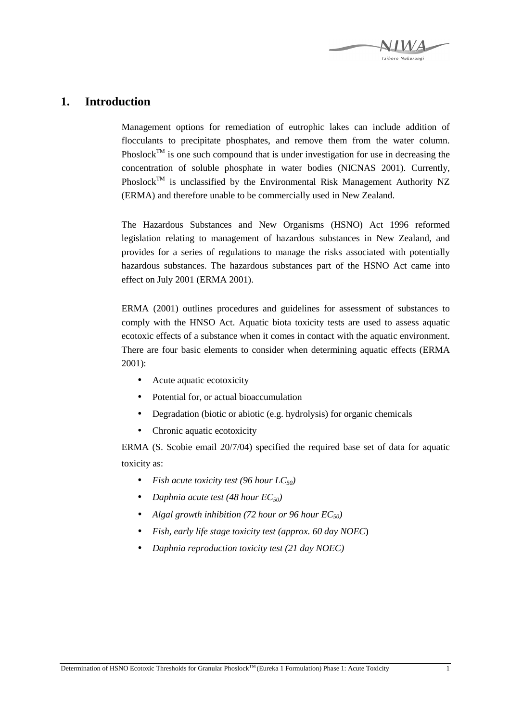

### **1. Introduction**

Management options for remediation of eutrophic lakes can include addition of flocculants to precipitate phosphates, and remove them from the water column. Phoslock<sup>TM</sup> is one such compound that is under investigation for use in decreasing the concentration of soluble phosphate in water bodies (NICNAS 2001). Currently, Phoslock<sup>TM</sup> is unclassified by the Environmental Risk Management Authority NZ (ERMA) and therefore unable to be commercially used in New Zealand.

The Hazardous Substances and New Organisms (HSNO) Act 1996 reformed legislation relating to management of hazardous substances in New Zealand, and provides for a series of regulations to manage the risks associated with potentially hazardous substances. The hazardous substances part of the HSNO Act came into effect on July 2001 (ERMA 2001).

ERMA (2001) outlines procedures and guidelines for assessment of substances to comply with the HNSO Act. Aquatic biota toxicity tests are used to assess aquatic ecotoxic effects of a substance when it comes in contact with the aquatic environment. There are four basic elements to consider when determining aquatic effects (ERMA 2001):

- Acute aquatic ecotoxicity
- Potential for, or actual bioaccumulation
- Degradation (biotic or abiotic (e.g. hydrolysis) for organic chemicals
- Chronic aquatic ecotoxicity

ERMA (S. Scobie email 20/7/04) specified the required base set of data for aquatic toxicity as:

- *Fish acute toxicity test (96 hour LC50)*
- *Daphnia acute test (48 hour EC50)*
- *Algal growth inhibition (72 hour or 96 hour EC50)*
- *Fish, early life stage toxicity test (approx. 60 day NOEC*)
- *Daphnia reproduction toxicity test (21 day NOEC)*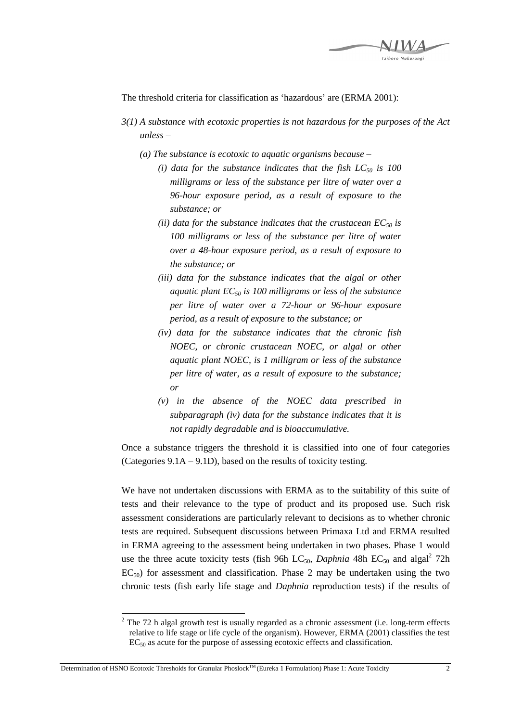

The threshold criteria for classification as 'hazardous' are (ERMA 2001):

- *3(1) A substance with ecotoxic properties is not hazardous for the purposes of the Act unless –* 
	- *(a) The substance is ecotoxic to aquatic organisms because* 
		- *(i) data for the substance indicates that the fish LC50 is 100 milligrams or less of the substance per litre of water over a 96-hour exposure period, as a result of exposure to the substance; or*
		- *(ii) data for the substance indicates that the crustacean*  $EC_{50}$  *is 100 milligrams or less of the substance per litre of water over a 48-hour exposure period, as a result of exposure to the substance; or*
		- *(iii) data for the substance indicates that the algal or other aquatic plant EC50 is 100 milligrams or less of the substance per litre of water over a 72-hour or 96-hour exposure period, as a result of exposure to the substance; or*
		- *(iv) data for the substance indicates that the chronic fish NOEC, or chronic crustacean NOEC, or algal or other aquatic plant NOEC, is 1 milligram or less of the substance per litre of water, as a result of exposure to the substance; or*
		- *(v) in the absence of the NOEC data prescribed in subparagraph (iv) data for the substance indicates that it is not rapidly degradable and is bioaccumulative.*

Once a substance triggers the threshold it is classified into one of four categories (Categories 9.1A – 9.1D), based on the results of toxicity testing.

We have not undertaken discussions with ERMA as to the suitability of this suite of tests and their relevance to the type of product and its proposed use. Such risk assessment considerations are particularly relevant to decisions as to whether chronic tests are required. Subsequent discussions between Primaxa Ltd and ERMA resulted in ERMA agreeing to the assessment being undertaken in two phases. Phase 1 would use the three acute toxicity tests (fish 96h LC<sub>50</sub>, *Daphnia* 48h EC<sub>50</sub> and algal<sup>2</sup> 72h  $EC_{50}$ ) for assessment and classification. Phase 2 may be undertaken using the two chronic tests (fish early life stage and *Daphnia* reproduction tests) if the results of

 $\overline{a}$  $2$  The 72 h algal growth test is usually regarded as a chronic assessment (i.e. long-term effects relative to life stage or life cycle of the organism). However, ERMA (2001) classifies the test  $EC_{50}$  as acute for the purpose of assessing ecotoxic effects and classification.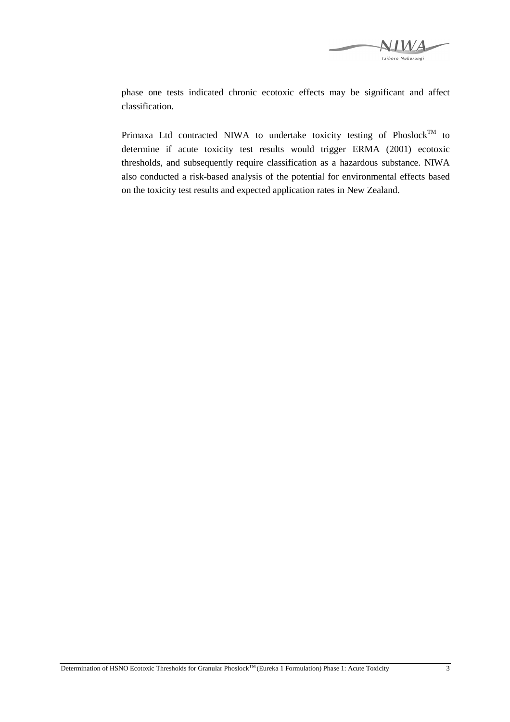

phase one tests indicated chronic ecotoxic effects may be significant and affect classification.

Primaxa Ltd contracted NIWA to undertake toxicity testing of Phoslock<sup>TM</sup> to determine if acute toxicity test results would trigger ERMA (2001) ecotoxic thresholds, and subsequently require classification as a hazardous substance. NIWA also conducted a risk-based analysis of the potential for environmental effects based on the toxicity test results and expected application rates in New Zealand.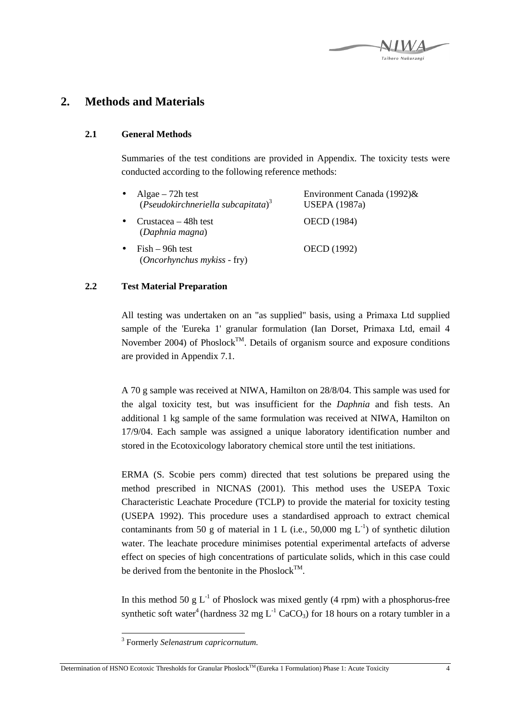## **2. Methods and Materials**

#### **2.1 General Methods**

Summaries of the test conditions are provided in Appendix. The toxicity tests were conducted according to the following reference methods:

| Algae $-72h$ test<br>(Pseudokirchneriella subcapitata) <sup>3</sup> | Environment Canada $(1992)$ &<br><b>USEPA</b> (1987a) |
|---------------------------------------------------------------------|-------------------------------------------------------|
| Crustacea – 48h test<br>(Daphnia magna)                             | OECD (1984)                                           |
| $Fish - 96h$ test<br>(Oncorhynchus mykiss - fry)                    | OECD (1992)                                           |

#### **2.2 Test Material Preparation**

All testing was undertaken on an "as supplied" basis, using a Primaxa Ltd supplied sample of the 'Eureka 1' granular formulation (Ian Dorset, Primaxa Ltd, email 4 November 2004) of Phoslock<sup>TM</sup>. Details of organism source and exposure conditions are provided in Appendix 7.1.

A 70 g sample was received at NIWA, Hamilton on 28/8/04. This sample was used for the algal toxicity test, but was insufficient for the *Daphnia* and fish tests. An additional 1 kg sample of the same formulation was received at NIWA, Hamilton on 17/9/04. Each sample was assigned a unique laboratory identification number and stored in the Ecotoxicology laboratory chemical store until the test initiations.

ERMA (S. Scobie pers comm) directed that test solutions be prepared using the method prescribed in NICNAS (2001). This method uses the USEPA Toxic Characteristic Leachate Procedure (TCLP) to provide the material for toxicity testing (USEPA 1992). This procedure uses a standardised approach to extract chemical contaminants from 50 g of material in 1 L (i.e., 50,000 mg  $L^{-1}$ ) of synthetic dilution water. The leachate procedure minimises potential experimental artefacts of adverse effect on species of high concentrations of particulate solids, which in this case could be derived from the bentonite in the Phoslock<sup>TM</sup>.

In this method 50 g  $L^{-1}$  of Phoslock was mixed gently (4 rpm) with a phosphorus-free synthetic soft water<sup>4</sup> (hardness 32 mg  $L^{-1}$  CaCO<sub>3</sub>) for 18 hours on a rotary tumbler in a

 $\overline{a}$ 

<sup>3</sup> Formerly *Selenastrum capricornutum.*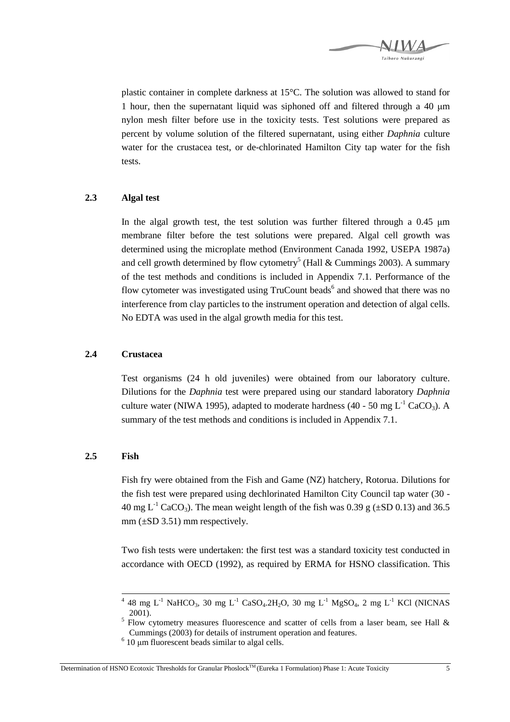

plastic container in complete darkness at 15°C. The solution was allowed to stand for 1 hour, then the supernatant liquid was siphoned off and filtered through a 40  $\mu$ m nylon mesh filter before use in the toxicity tests. Test solutions were prepared as percent by volume solution of the filtered supernatant, using either *Daphnia* culture water for the crustacea test, or de-chlorinated Hamilton City tap water for the fish tests.

#### **2.3 Algal test**

In the algal growth test, the test solution was further filtered through a  $0.45 \mu m$ membrane filter before the test solutions were prepared. Algal cell growth was determined using the microplate method (Environment Canada 1992, USEPA 1987a) and cell growth determined by flow cytometry<sup>5</sup> (Hall & Cummings 2003). A summary of the test methods and conditions is included in Appendix 7.1. Performance of the flow cytometer was investigated using TruCount beads<sup>6</sup> and showed that there was no interference from clay particles to the instrument operation and detection of algal cells. No EDTA was used in the algal growth media for this test.

#### **2.4 Crustacea**

Test organisms (24 h old juveniles) were obtained from our laboratory culture. Dilutions for the *Daphnia* test were prepared using our standard laboratory *Daphnia* culture water (NIWA 1995), adapted to moderate hardness (40 - 50 mg  $L^{-1}$  CaCO<sub>3</sub>). A summary of the test methods and conditions is included in Appendix 7.1.

#### **2.5 Fish**

Fish fry were obtained from the Fish and Game (NZ) hatchery, Rotorua. Dilutions for the fish test were prepared using dechlorinated Hamilton City Council tap water (30 - 40 mg  $L^{-1}$  CaCO<sub>3</sub>). The mean weight length of the fish was 0.39 g ( $\pm$ SD 0.13) and 36.5  $mm (\pm SD 3.51)$  mm respectively.

Two fish tests were undertaken: the first test was a standard toxicity test conducted in accordance with OECD (1992), as required by ERMA for HSNO classification. This

 $^{4}$  48 mg L<sup>-1</sup> NaHCO<sub>3</sub>, 30 mg L<sup>-1</sup> CaSO<sub>4</sub>.2H<sub>2</sub>O, 30 mg L<sup>-1</sup> MgSO<sub>4</sub>, 2 mg L<sup>-1</sup> KCl (NICNAS 2001).

<sup>&</sup>lt;sup>5</sup> Flow cytometry measures fluorescence and scatter of cells from a laser beam, see Hall  $\&$ Cummings (2003) for details of instrument operation and features.

 $6$  10  $\mu$ m fluorescent beads similar to algal cells.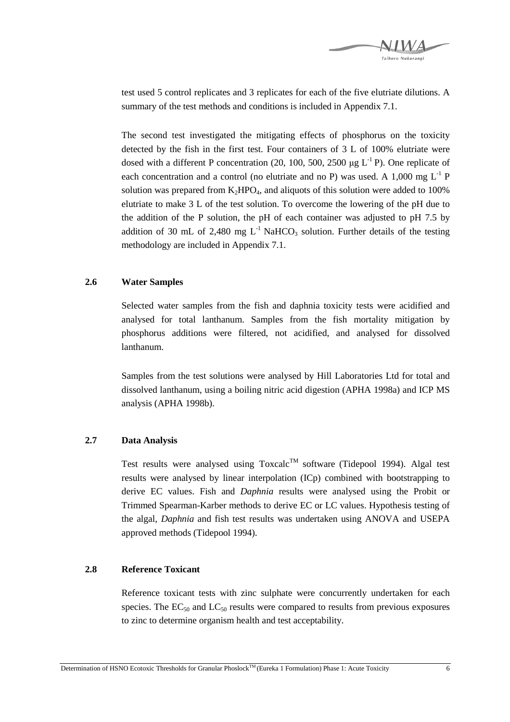

test used 5 control replicates and 3 replicates for each of the five elutriate dilutions. A summary of the test methods and conditions is included in Appendix 7.1.

The second test investigated the mitigating effects of phosphorus on the toxicity detected by the fish in the first test. Four containers of 3 L of 100% elutriate were dosed with a different P concentration (20, 100, 500, 2500  $\mu$ g L<sup>-1</sup> P). One replicate of each concentration and a control (no elutriate and no P) was used. A 1,000 mg  $L^{-1}$  P solution was prepared from  $K_2HPO_4$ , and aliquots of this solution were added to 100% elutriate to make 3 L of the test solution. To overcome the lowering of the pH due to the addition of the P solution, the pH of each container was adjusted to pH 7.5 by addition of 30 mL of 2,480 mg  $L^{-1}$  NaHCO<sub>3</sub> solution. Further details of the testing methodology are included in Appendix 7.1.

#### **2.6 Water Samples**

Selected water samples from the fish and daphnia toxicity tests were acidified and analysed for total lanthanum. Samples from the fish mortality mitigation by phosphorus additions were filtered, not acidified, and analysed for dissolved lanthanum.

Samples from the test solutions were analysed by Hill Laboratories Ltd for total and dissolved lanthanum, using a boiling nitric acid digestion (APHA 1998a) and ICP MS analysis (APHA 1998b).

#### **2.7 Data Analysis**

Test results were analysed using  $Toxcalc^{TM}$  software (Tidepool 1994). Algal test results were analysed by linear interpolation (ICp) combined with bootstrapping to derive EC values. Fish and *Daphnia* results were analysed using the Probit or Trimmed Spearman-Karber methods to derive EC or LC values. Hypothesis testing of the algal, *Daphnia* and fish test results was undertaken using ANOVA and USEPA approved methods (Tidepool 1994).

#### **2.8 Reference Toxicant**

Reference toxicant tests with zinc sulphate were concurrently undertaken for each species. The  $EC_{50}$  and  $LC_{50}$  results were compared to results from previous exposures to zinc to determine organism health and test acceptability.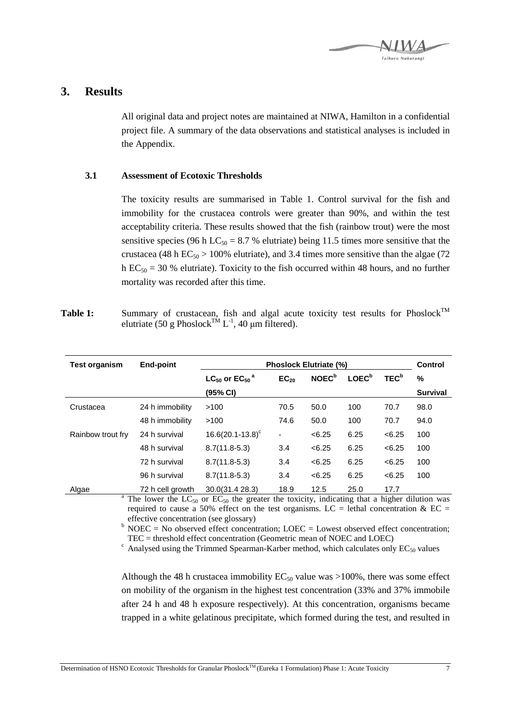

### **3. Results**

All original data and project notes are maintained at NIWA, Hamilton in a confidential project file. A summary of the data observations and statistical analyses is included in the Appendix.

#### **3.1 Assessment of Ecotoxic Thresholds**

The toxicity results are summarised in Table 1. Control survival for the fish and immobility for the crustacea controls were greater than 90%, and within the test acceptability criteria. These results showed that the fish (rainbow trout) were the most sensitive species (96 h LC<sub>50</sub> = 8.7 % elutriate) being 11.5 times more sensitive that the crustacea (48 h  $EC_{50}$  > 100% elutriate), and 3.4 times more sensitive than the algae (72 h  $EC_{50} = 30$  % elutriate). Toxicity to the fish occurred within 48 hours, and no further mortality was recorded after this time.

Table 1: Summary of crustacean, fish and algal acute toxicity test results for Phoslock<sup>TM</sup> elutriate (50 g Phoslock<sup>TM</sup> L<sup>-1</sup>, 40  $\mu$ m filtered).

| <b>Test organism</b> | End-point        | <b>Phoslock Elutriate (%)</b>       |           |                          |                   | Control          |                 |
|----------------------|------------------|-------------------------------------|-----------|--------------------------|-------------------|------------------|-----------------|
|                      |                  | $LC_{50}$ or $EC_{50}$ <sup>a</sup> | $EC_{20}$ | <b>NOEC</b> <sup>b</sup> | LOEC <sup>b</sup> | TEC <sup>b</sup> | %               |
|                      |                  | (95% CI)                            |           |                          |                   |                  | <b>Survival</b> |
| Crustacea            | 24 h immobility  | >100                                | 70.5      | 50.0                     | 100               | 70.7             | 98.0            |
|                      | 48 h immobility  | >100                                | 74.6      | 50.0                     | 100               | 70.7             | 94.0            |
| Rainbow trout fry    | 24 h survival    | $16.6(20.1 - 13.8)^c$               | ٠         | <6.25                    | 6.25              | <6.25            | 100             |
|                      | 48 h survival    | $8.7(11.8-5.3)$                     | 3.4       | <6.25                    | 6.25              | < 6.25           | 100             |
|                      | 72 h survival    | $8.7(11.8-5.3)$                     | 3.4       | <6.25                    | 6.25              | < 6.25           | 100             |
|                      | 96 h survival    | $8.7(11.8-5.3)$                     | 3.4       | <6.25                    | 6.25              | <6.25            | 100             |
| Algae                | 72 h cell growth | 30.0(31.4 28.3)                     | 18.9      | 12.5                     | 25.0              | 17.7             |                 |

<sup>a</sup> The lower the LC<sub>50</sub> or EC<sub>50</sub> the greater the toxicity, indicating that a higher dilution was required to cause a 50% effect on the test organisms. LC = lethal concentration & EC = effective concentration (see glossary)

 $b$  NOEC = No observed effect concentration; LOEC = Lowest observed effect concentration; TEC = threshold effect concentration (Geometric mean of NOEC and LOEC)

 $\textdegree$  Analysed using the Trimmed Spearman-Karber method, which calculates only EC<sub>50</sub> values

Although the 48 h crustacea immobility  $EC_{50}$  value was >100%, there was some effect on mobility of the organism in the highest test concentration (33% and 37% immobile after 24 h and 48 h exposure respectively). At this concentration, organisms became trapped in a white gelatinous precipitate, which formed during the test, and resulted in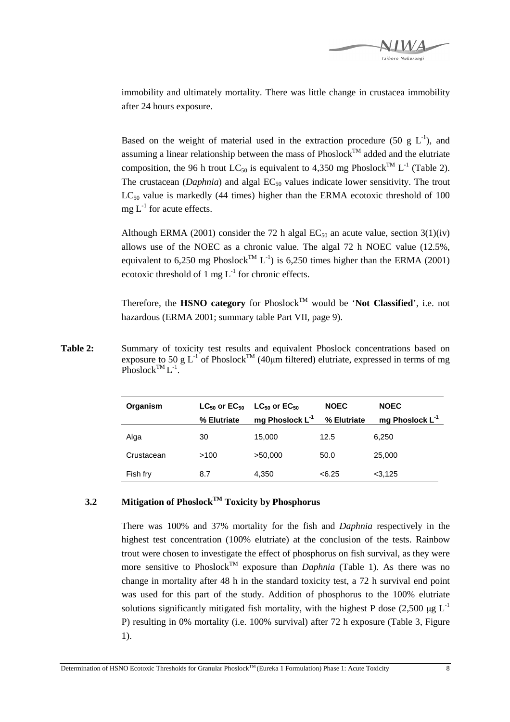

immobility and ultimately mortality. There was little change in crustacea immobility after 24 hours exposure.

Based on the weight of material used in the extraction procedure (50 g  $L^{-1}$ ), and assuming a linear relationship between the mass of  $Phoslock^{TM}$  added and the elutriate composition, the 96 h trout LC<sub>50</sub> is equivalent to 4,350 mg Phoslock<sup>TM</sup> L<sup>-1</sup> (Table 2). The crustacean (*Daphnia*) and algal EC<sub>50</sub> values indicate lower sensitivity. The trout  $LC_{50}$  value is markedly (44 times) higher than the ERMA ecotoxic threshold of 100  $mg L<sup>-1</sup>$  for acute effects.

Although ERMA (2001) consider the 72 h algal  $EC_{50}$  an acute value, section 3(1)(iv) allows use of the NOEC as a chronic value. The algal 72 h NOEC value (12.5%, equivalent to 6,250 mg Phoslock<sup>TM</sup> L<sup>-1</sup>) is 6,250 times higher than the ERMA (2001) ecotoxic threshold of 1 mg  $L^{-1}$  for chronic effects.

Therefore, the **HSNO category** for Phoslock<sup>TM</sup> would be 'Not Classified', i.e. not hazardous (ERMA 2001; summary table Part VII, page 9).

Table 2: Summary of toxicity test results and equivalent Phoslock concentrations based on exposure to 50 g L<sup>-1</sup> of Phoslock<sup>TM</sup> (40µm filtered) elutriate, expressed in terms of mg Phoslock<sup>TM</sup>  $L^{-1}$ .

| Organism   | $LG_{50}$ or $EC_{50}$ | $LC_{50}$ or $EC_{50}$      | <b>NOEC</b> | <b>NOEC</b>                 |
|------------|------------------------|-----------------------------|-------------|-----------------------------|
|            | % Elutriate            | mg Phoslock L <sup>-1</sup> | % Elutriate | mg Phoslock L <sup>-1</sup> |
| Alga       | 30                     | 15,000                      | 12.5        | 6.250                       |
| Crustacean | >100                   | >50,000                     | 50.0        | 25,000                      |
| Fish fry   | 8.7                    | 4.350                       | <6.25       | 3,125                       |

#### **3.2 Mitigation of PhoslockTM Toxicity by Phosphorus**

There was 100% and 37% mortality for the fish and *Daphnia* respectively in the highest test concentration (100% elutriate) at the conclusion of the tests. Rainbow trout were chosen to investigate the effect of phosphorus on fish survival, as they were more sensitive to Phoslock<sup>TM</sup> exposure than *Daphnia* (Table 1). As there was no change in mortality after 48 h in the standard toxicity test, a 72 h survival end point was used for this part of the study. Addition of phosphorus to the 100% elutriate solutions significantly mitigated fish mortality, with the highest P dose (2,500  $\mu$ g L<sup>-1</sup> P) resulting in 0% mortality (i.e. 100% survival) after 72 h exposure (Table 3, Figure 1).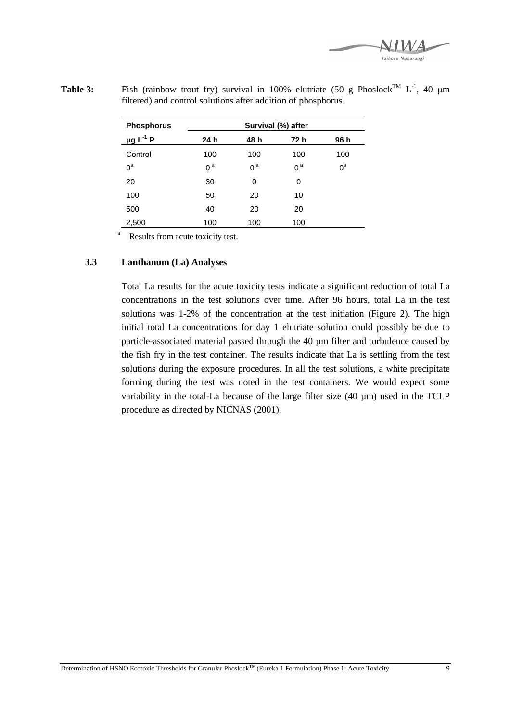Taihoro Nukurangi

| <b>Phosphorus</b>         | Survival (%) after |                |                |       |  |  |
|---------------------------|--------------------|----------------|----------------|-------|--|--|
| $\mu$ g L <sup>-1</sup> P | 24 h               | 48 h           | 72 h           | 96 h  |  |  |
| Control                   | 100                | 100            | 100            | 100   |  |  |
| $0^a$                     | 0 <sup>a</sup>     | 0 <sup>a</sup> | 0 <sup>a</sup> | $0^a$ |  |  |
| 20                        | 30                 | 0              | 0              |       |  |  |
| 100                       | 50                 | 20             | 10             |       |  |  |
| 500                       | 40                 | 20             | 20             |       |  |  |
| 2,500                     | 100                | 100            | 100            |       |  |  |

**Table 3:** Fish (rainbow trout fry) survival in 100% elutriate (50 g Phoslock<sup>TM</sup> L<sup>-1</sup>, 40  $\mu$ m filtered) and control solutions after addition of phosphorus.

a Results from acute toxicity test.

#### **3.3 Lanthanum (La) Analyses**

Total La results for the acute toxicity tests indicate a significant reduction of total La concentrations in the test solutions over time. After 96 hours, total La in the test solutions was 1-2% of the concentration at the test initiation (Figure 2). The high initial total La concentrations for day 1 elutriate solution could possibly be due to particle-associated material passed through the 40 µm filter and turbulence caused by the fish fry in the test container. The results indicate that La is settling from the test solutions during the exposure procedures. In all the test solutions, a white precipitate forming during the test was noted in the test containers. We would expect some variability in the total-La because of the large filter size (40 µm) used in the TCLP procedure as directed by NICNAS (2001).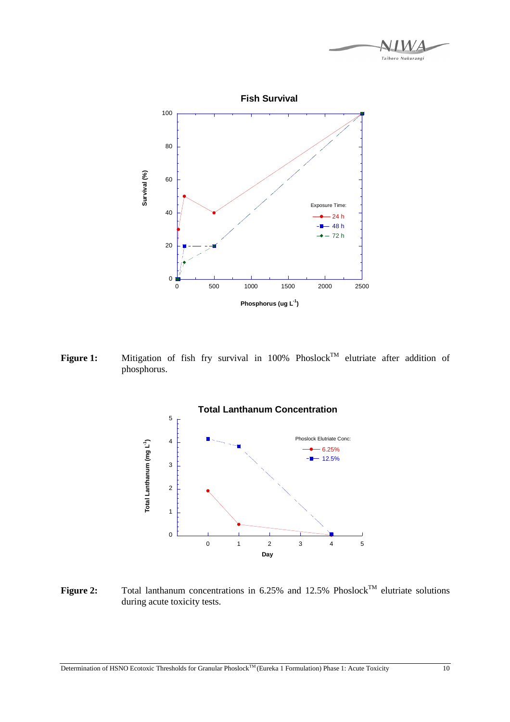

Figure 1: Mitigation of fish fry survival in 100% Phoslock<sup>TM</sup> elutriate after addition of phosphorus.



**Figure 2:** Total lanthanum concentrations in 6.25% and 12.5% Phoslock<sup>TM</sup> elutriate solutions during acute toxicity tests.

Determination of HSNO Ecotoxic Thresholds for Granular Phoslock<sup>TM</sup> (Eureka 1 Formulation) Phase 1: Acute Toxicity 10

Taihoro Nukurangi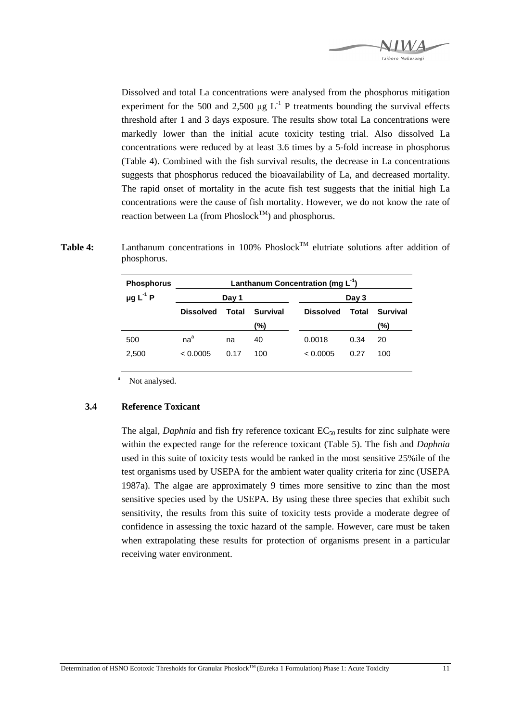

Dissolved and total La concentrations were analysed from the phosphorus mitigation experiment for the 500 and 2,500  $\mu$ g L<sup>-1</sup> P treatments bounding the survival effects threshold after 1 and 3 days exposure. The results show total La concentrations were markedly lower than the initial acute toxicity testing trial. Also dissolved La concentrations were reduced by at least 3.6 times by a 5-fold increase in phosphorus (Table 4). Combined with the fish survival results, the decrease in La concentrations suggests that phosphorus reduced the bioavailability of La, and decreased mortality. The rapid onset of mortality in the acute fish test suggests that the initial high La concentrations were the cause of fish mortality. However, we do not know the rate of reaction between La (from Phoslock<sup>TM</sup>) and phosphorus.

| Table 4: |             | Lanthanum concentrations in 100% Phoslock <sup>TM</sup> elutriate solutions after addition of |  |  |  |  |
|----------|-------------|-----------------------------------------------------------------------------------------------|--|--|--|--|
|          | phosphorus. |                                                                                               |  |  |  |  |

| <b>Phosphorus</b>         | Lanthanum Concentration (mg $L^{-1}$ ) |       |                 |                  |       |                 |  |
|---------------------------|----------------------------------------|-------|-----------------|------------------|-------|-----------------|--|
| $\mu$ g L <sup>-1</sup> P | Day 1                                  |       |                 |                  | Day 3 |                 |  |
|                           | <b>Dissolved</b>                       | Total | <b>Survival</b> | <b>Dissolved</b> | Total | <b>Survival</b> |  |
|                           |                                        |       | (%)             |                  |       | (%)             |  |
| 500                       | $na^a$                                 | na    | 40              | 0.0018           | 0.34  | 20              |  |
| 2,500                     | < 0.0005                               | 0.17  | 100             | < 0.0005         | 0.27  | 100             |  |
|                           |                                        |       |                 |                  |       |                 |  |

a Not analysed.

#### **3.4 Reference Toxicant**

The algal, *Daphnia* and fish fry reference toxicant  $EC_{50}$  results for zinc sulphate were within the expected range for the reference toxicant (Table 5). The fish and *Daphnia* used in this suite of toxicity tests would be ranked in the most sensitive 25%ile of the test organisms used by USEPA for the ambient water quality criteria for zinc (USEPA 1987a). The algae are approximately 9 times more sensitive to zinc than the most sensitive species used by the USEPA. By using these three species that exhibit such sensitivity, the results from this suite of toxicity tests provide a moderate degree of confidence in assessing the toxic hazard of the sample. However, care must be taken when extrapolating these results for protection of organisms present in a particular receiving water environment.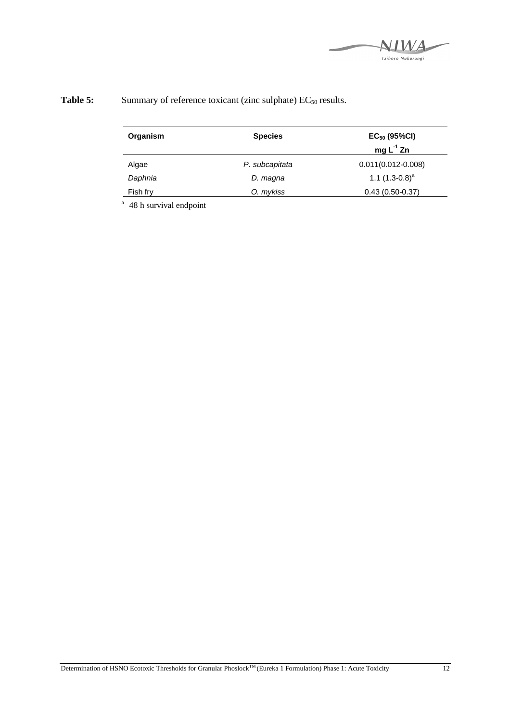

| Organism | <b>Species</b> | $EC_{50}$ (95%CI)<br>mg $L^{-1}$ Zn |  |
|----------|----------------|-------------------------------------|--|
| Algae    | P. subcapitata | $0.011(0.012 - 0.008)$              |  |
| Daphnia  | D. magna       | 1.1 $(1.3-0.8)^a$                   |  |
| Fish fry | O. mykiss      | $0.43(0.50-0.37)$                   |  |

## **Table 5:** Summary of reference toxicant (zinc sulphate) EC<sub>50</sub> results.

<sup>a</sup> 48 h survival endpoint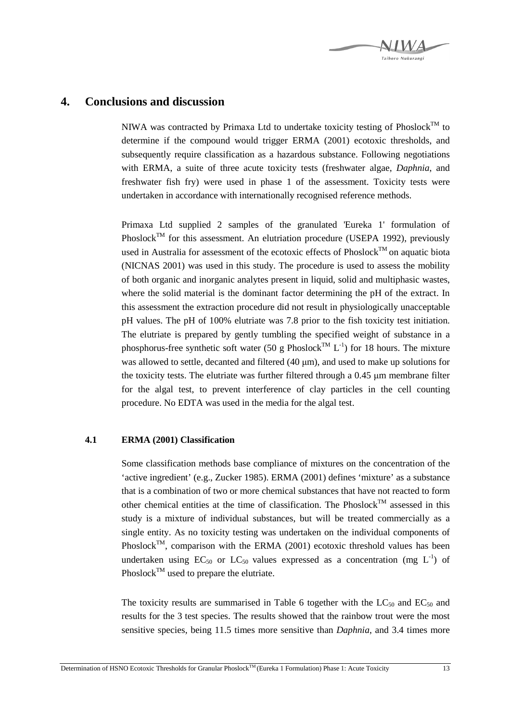

### **4. Conclusions and discussion**

NIWA was contracted by Primaxa Ltd to undertake toxicity testing of Phoslock<sup>TM</sup> to determine if the compound would trigger ERMA (2001) ecotoxic thresholds, and subsequently require classification as a hazardous substance. Following negotiations with ERMA, a suite of three acute toxicity tests (freshwater algae, *Daphnia*, and freshwater fish fry) were used in phase 1 of the assessment. Toxicity tests were undertaken in accordance with internationally recognised reference methods.

Primaxa Ltd supplied 2 samples of the granulated 'Eureka 1' formulation of Phoslock<sup>TM</sup> for this assessment. An elutriation procedure (USEPA 1992), previously used in Australia for assessment of the ecotoxic effects of  $Phoslock^{TM}$  on aquatic biota (NICNAS 2001) was used in this study. The procedure is used to assess the mobility of both organic and inorganic analytes present in liquid, solid and multiphasic wastes, where the solid material is the dominant factor determining the pH of the extract. In this assessment the extraction procedure did not result in physiologically unacceptable pH values. The pH of 100% elutriate was 7.8 prior to the fish toxicity test initiation. The elutriate is prepared by gently tumbling the specified weight of substance in a phosphorus-free synthetic soft water (50 g Phoslock<sup>TM</sup> L<sup>-1</sup>) for 18 hours. The mixture was allowed to settle, decanted and filtered (40 µm), and used to make up solutions for the toxicity tests. The elutriate was further filtered through a  $0.45 \mu m$  membrane filter for the algal test, to prevent interference of clay particles in the cell counting procedure. No EDTA was used in the media for the algal test.

#### **4.1 ERMA (2001) Classification**

Some classification methods base compliance of mixtures on the concentration of the 'active ingredient' (e.g., Zucker 1985). ERMA (2001) defines 'mixture' as a substance that is a combination of two or more chemical substances that have not reacted to form other chemical entities at the time of classification. The Phoslock<sup>TM</sup> assessed in this study is a mixture of individual substances, but will be treated commercially as a single entity. As no toxicity testing was undertaken on the individual components of Phoslock<sup>TM</sup>, comparison with the ERMA (2001) ecotoxic threshold values has been undertaken using  $EC_{50}$  or  $LC_{50}$  values expressed as a concentration (mg  $L^{-1}$ ) of Phoslock<sup>TM</sup> used to prepare the elutriate.

The toxicity results are summarised in Table 6 together with the  $LC_{50}$  and  $EC_{50}$  and results for the 3 test species. The results showed that the rainbow trout were the most sensitive species, being 11.5 times more sensitive than *Daphnia*, and 3.4 times more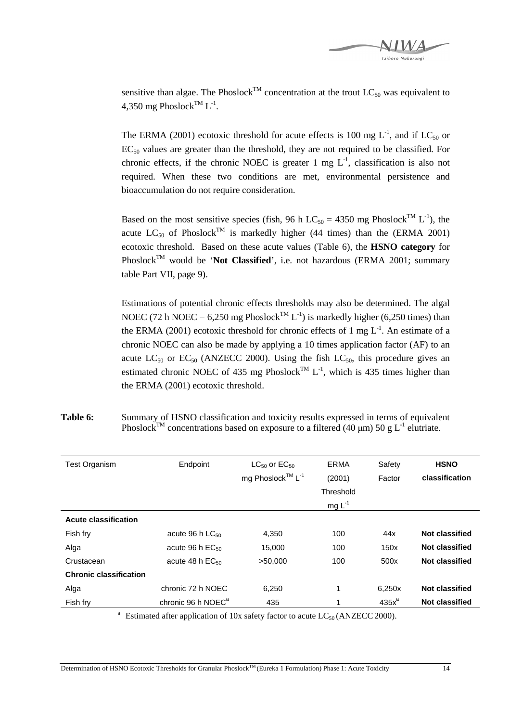

sensitive than algae. The Phoslock<sup>TM</sup> concentration at the trout  $LC_{50}$  was equivalent to 4,350 mg Phoslock<sup>TM</sup> L<sup>-1</sup>.

The ERMA (2001) ecotoxic threshold for acute effects is 100 mg  $L^{-1}$ , and if  $LC_{50}$  or  $EC_{50}$  values are greater than the threshold, they are not required to be classified. For chronic effects, if the chronic NOEC is greater 1 mg  $L^{-1}$ , classification is also not required. When these two conditions are met, environmental persistence and bioaccumulation do not require consideration.

Based on the most sensitive species (fish, 96 h LC<sub>50</sub> = 4350 mg Phoslock<sup>TM</sup> L<sup>-1</sup>), the acute  $LC_{50}$  of Phoslock<sup>TM</sup> is markedly higher (44 times) than the (ERMA 2001) ecotoxic threshold. Based on these acute values (Table 6), the **HSNO category** for Phoslock<sup>TM</sup> would be '**Not Classified**', i.e. not hazardous (ERMA 2001; summary table Part VII, page 9).

Estimations of potential chronic effects thresholds may also be determined. The algal NOEC (72 h NOEC = 6,250 mg Phoslock<sup>TM</sup> L<sup>-1</sup>) is markedly higher (6,250 times) than the ERMA (2001) ecotoxic threshold for chronic effects of 1 mg  $L^{-1}$ . An estimate of a chronic NOEC can also be made by applying a 10 times application factor (AF) to an acute  $LC_{50}$  or  $EC_{50}$  (ANZECC 2000). Using the fish  $LC_{50}$ , this procedure gives an estimated chronic NOEC of 435 mg Phoslock<sup>TM</sup> L<sup>-1</sup>, which is 435 times higher than the ERMA (2001) ecotoxic threshold.

| <b>Test Organism</b>          | Endpoint                       | $LC_{50}$ or $EC_{50}$<br>mg Phoslock™ L <sup>-1</sup> | <b>ERMA</b><br>(2001)<br>Threshold<br>mg $L^{-1}$ | Safety<br>Factor | <b>HSNO</b><br>classification |
|-------------------------------|--------------------------------|--------------------------------------------------------|---------------------------------------------------|------------------|-------------------------------|
| Acute classification          |                                |                                                        |                                                   |                  |                               |
| Fish fry                      | acute 96 h $LC_{50}$           | 4,350                                                  | 100                                               | 44x              | Not classified                |
| Alga                          | acute 96 h $EC_{50}$           | 15,000                                                 | 100                                               | 150x             | Not classified                |
| Crustacean                    | acute 48 h $EC_{50}$           | >50,000                                                | 100                                               | 500x             | <b>Not classified</b>         |
| <b>Chronic classification</b> |                                |                                                        |                                                   |                  |                               |
| Alga                          | chronic 72 h NOEC              | 6,250                                                  | 1                                                 | 6,250x           | Not classified                |
| Fish fry                      | chronic 96 h NOEC <sup>a</sup> | 435                                                    |                                                   | $435x^a$         | <b>Not classified</b>         |
|                               |                                |                                                        |                                                   |                  |                               |

Table 6: Summary of HSNO classification and toxicity results expressed in terms of equivalent Phoslock<sup>TM</sup> concentrations based on exposure to a filtered (40  $\mu$ m) 50 g L<sup>-1</sup> elutriate.

<sup>a</sup> Estimated after application of 10x safety factor to acute  $LC_{50}$  (ANZECC 2000).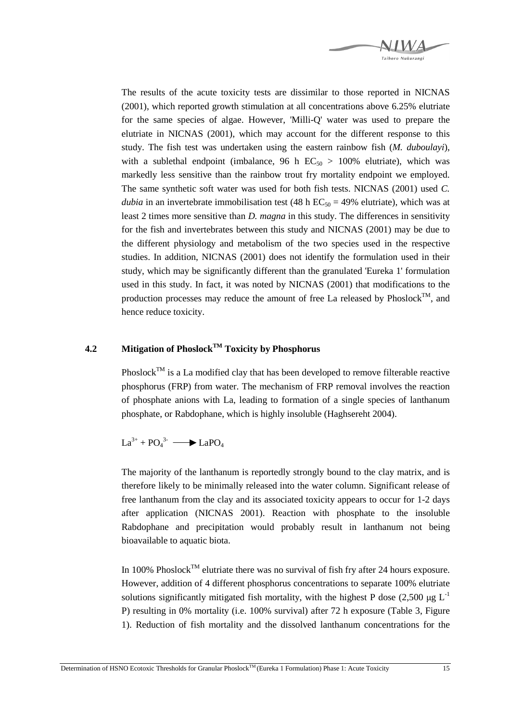

The results of the acute toxicity tests are dissimilar to those reported in NICNAS (2001), which reported growth stimulation at all concentrations above 6.25% elutriate for the same species of algae. However, 'Milli-Q' water was used to prepare the elutriate in NICNAS (2001), which may account for the different response to this study. The fish test was undertaken using the eastern rainbow fish (*M. duboulayi*), with a sublethal endpoint (imbalance, 96 h  $EC_{50} > 100\%$  elutriate), which was markedly less sensitive than the rainbow trout fry mortality endpoint we employed. The same synthetic soft water was used for both fish tests. NICNAS (2001) used *C. dubia* in an invertebrate immobilisation test (48 h  $EC_{50} = 49\%$  elutriate), which was at least 2 times more sensitive than *D. magna* in this study. The differences in sensitivity for the fish and invertebrates between this study and NICNAS (2001) may be due to the different physiology and metabolism of the two species used in the respective studies. In addition, NICNAS (2001) does not identify the formulation used in their study, which may be significantly different than the granulated 'Eureka 1' formulation used in this study. In fact, it was noted by NICNAS (2001) that modifications to the production processes may reduce the amount of free La released by  $Phoslock^{TM}$ , and hence reduce toxicity.

#### **4.2 Mitigation of PhoslockTM Toxicity by Phosphorus**

 $Phoslock^{TM}$  is a La modified clay that has been developed to remove filterable reactive phosphorus (FRP) from water. The mechanism of FRP removal involves the reaction of phosphate anions with La, leading to formation of a single species of lanthanum phosphate, or Rabdophane, which is highly insoluble (Haghsereht 2004).

 $La^{3+} + PO_4^{3-}$   $\longrightarrow$  LaPO<sub>4</sub>

The majority of the lanthanum is reportedly strongly bound to the clay matrix, and is therefore likely to be minimally released into the water column. Significant release of free lanthanum from the clay and its associated toxicity appears to occur for 1-2 days after application (NICNAS 2001). Reaction with phosphate to the insoluble Rabdophane and precipitation would probably result in lanthanum not being bioavailable to aquatic biota.

In 100% Phoslock<sup>TM</sup> elutriate there was no survival of fish fry after 24 hours exposure. However, addition of 4 different phosphorus concentrations to separate 100% elutriate solutions significantly mitigated fish mortality, with the highest P dose (2,500  $\mu$ g L<sup>-1</sup> P) resulting in 0% mortality (i.e. 100% survival) after 72 h exposure (Table 3, Figure 1). Reduction of fish mortality and the dissolved lanthanum concentrations for the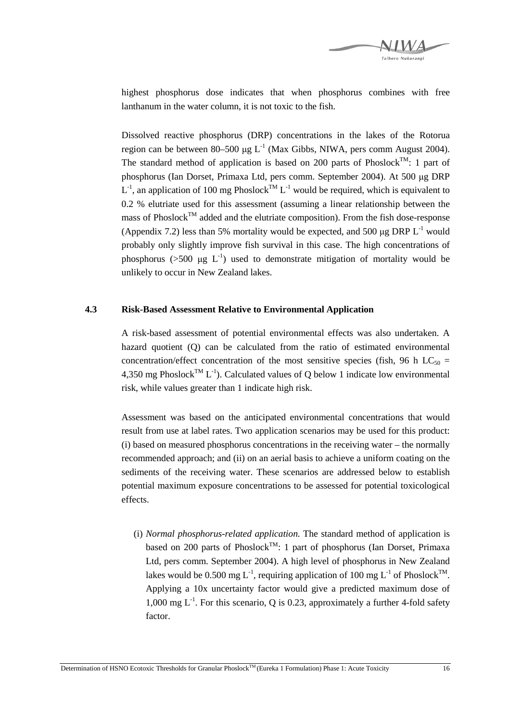

highest phosphorus dose indicates that when phosphorus combines with free lanthanum in the water column, it is not toxic to the fish.

Dissolved reactive phosphorus (DRP) concentrations in the lakes of the Rotorua region can be between 80–500  $\mu$ g L<sup>-1</sup> (Max Gibbs, NIWA, pers comm August 2004). The standard method of application is based on 200 parts of Phoslock<sup>TM</sup>: 1 part of phosphorus (Ian Dorset, Primaxa Ltd, pers comm. September 2004). At 500 µg DRP  $L^{-1}$ , an application of 100 mg Phoslock<sup>TM</sup>  $L^{-1}$  would be required, which is equivalent to 0.2 % elutriate used for this assessment (assuming a linear relationship between the mass of Phoslock<sup>TM</sup> added and the elutriate composition). From the fish dose-response (Appendix 7.2) less than 5% mortality would be expected, and 500  $\mu$ g DRP L<sup>-1</sup> would probably only slightly improve fish survival in this case. The high concentrations of phosphorus ( $>500 \mu g L^{-1}$ ) used to demonstrate mitigation of mortality would be unlikely to occur in New Zealand lakes.

#### **4.3 Risk-Based Assessment Relative to Environmental Application**

A risk-based assessment of potential environmental effects was also undertaken. A hazard quotient (Q) can be calculated from the ratio of estimated environmental concentration/effect concentration of the most sensitive species (fish, 96 h LC<sub>50</sub> = 4,350 mg Phoslock<sup>TM</sup> L<sup>-1</sup>). Calculated values of O below 1 indicate low environmental risk, while values greater than 1 indicate high risk.

Assessment was based on the anticipated environmental concentrations that would result from use at label rates. Two application scenarios may be used for this product: (i) based on measured phosphorus concentrations in the receiving water – the normally recommended approach; and (ii) on an aerial basis to achieve a uniform coating on the sediments of the receiving water. These scenarios are addressed below to establish potential maximum exposure concentrations to be assessed for potential toxicological effects.

(i) *Normal phosphorus-related application.* The standard method of application is based on 200 parts of Phoslock<sup>TM</sup>: 1 part of phosphorus (Ian Dorset, Primaxa Ltd, pers comm. September 2004). A high level of phosphorus in New Zealand lakes would be 0.500 mg  $L^{-1}$ , requiring application of 100 mg  $L^{-1}$  of Phoslock<sup>TM</sup>. Applying a 10x uncertainty factor would give a predicted maximum dose of 1,000 mg  $L^{-1}$ . For this scenario, O is 0.23, approximately a further 4-fold safety factor.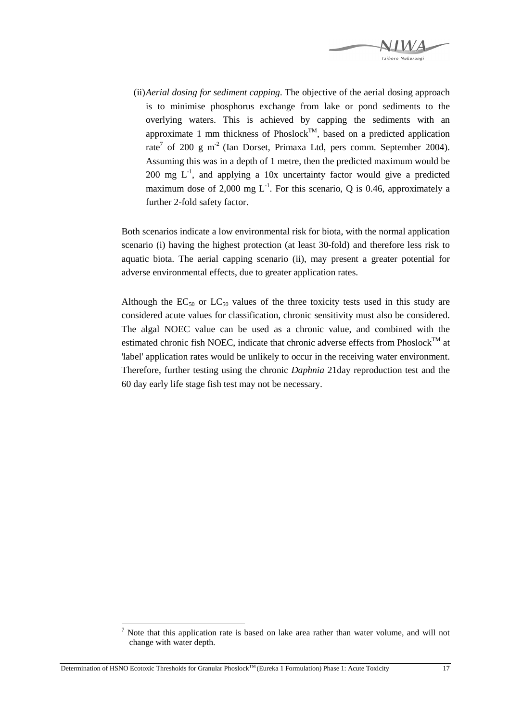

(ii) *Aerial dosing for sediment capping*. The objective of the aerial dosing approach is to minimise phosphorus exchange from lake or pond sediments to the overlying waters. This is achieved by capping the sediments with an approximate 1 mm thickness of Phoslock<sup>TM</sup>, based on a predicted application rate<sup>7</sup> of 200 g m<sup>-2</sup> (Ian Dorset, Primaxa Ltd, pers comm. September 2004). Assuming this was in a depth of 1 metre, then the predicted maximum would be 200 mg  $L^{-1}$ , and applying a 10x uncertainty factor would give a predicted maximum dose of 2,000 mg  $L^{-1}$ . For this scenario, Q is 0.46, approximately a further 2-fold safety factor.

Both scenarios indicate a low environmental risk for biota, with the normal application scenario (i) having the highest protection (at least 30-fold) and therefore less risk to aquatic biota. The aerial capping scenario (ii), may present a greater potential for adverse environmental effects, due to greater application rates.

Although the  $EC_{50}$  or  $LC_{50}$  values of the three toxicity tests used in this study are considered acute values for classification, chronic sensitivity must also be considered. The algal NOEC value can be used as a chronic value, and combined with the estimated chronic fish NOEC, indicate that chronic adverse effects from Phoslock<sup>TM</sup> at 'label' application rates would be unlikely to occur in the receiving water environment. Therefore, further testing using the chronic *Daphnia* 21day reproduction test and the 60 day early life stage fish test may not be necessary.

 $\overline{a}$ 7 Note that this application rate is based on lake area rather than water volume, and will not change with water depth.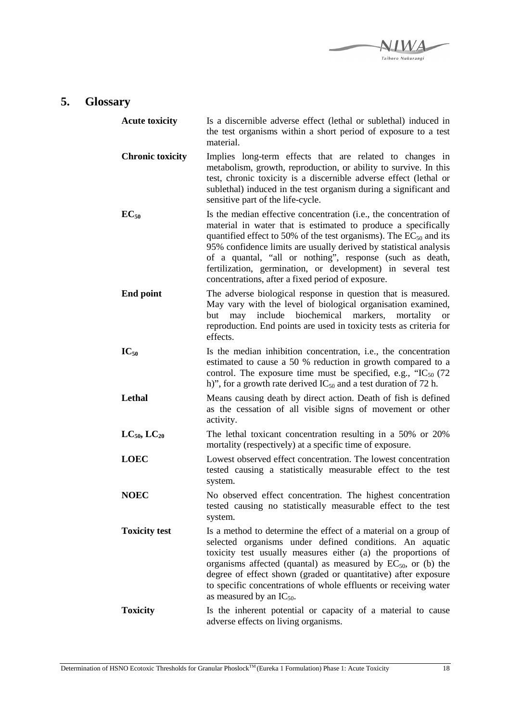

## **5. Glossary**

| <b>Acute toxicity</b>   | Is a discernible adverse effect (lethal or sublethal) induced in<br>the test organisms within a short period of exposure to a test<br>material.                                                                                                                                                                                                                                                                                                                   |
|-------------------------|-------------------------------------------------------------------------------------------------------------------------------------------------------------------------------------------------------------------------------------------------------------------------------------------------------------------------------------------------------------------------------------------------------------------------------------------------------------------|
| <b>Chronic toxicity</b> | Implies long-term effects that are related to changes in<br>metabolism, growth, reproduction, or ability to survive. In this<br>test, chronic toxicity is a discernible adverse effect (lethal or<br>sublethal) induced in the test organism during a significant and<br>sensitive part of the life-cycle.                                                                                                                                                        |
| $EC_{50}$               | Is the median effective concentration (i.e., the concentration of<br>material in water that is estimated to produce a specifically<br>quantified effect to 50% of the test organisms). The $EC_{50}$ and its<br>95% confidence limits are usually derived by statistical analysis<br>of a quantal, "all or nothing", response (such as death,<br>fertilization, germination, or development) in several test<br>concentrations, after a fixed period of exposure. |
| <b>End point</b>        | The adverse biological response in question that is measured.<br>May vary with the level of biological organisation examined,<br>biochemical<br>include<br>markers,<br>but<br>may<br>mortality<br><sub>or</sub><br>reproduction. End points are used in toxicity tests as criteria for<br>effects.                                                                                                                                                                |
| $IC_{50}$               | Is the median inhibition concentration, i.e., the concentration<br>estimated to cause a 50 % reduction in growth compared to a<br>control. The exposure time must be specified, e.g., " $IC_{50}$ (72)<br>h)", for a growth rate derived $IC_{50}$ and a test duration of 72 h.                                                                                                                                                                                   |
| Lethal                  | Means causing death by direct action. Death of fish is defined<br>as the cessation of all visible signs of movement or other<br>activity.                                                                                                                                                                                                                                                                                                                         |
| $LC_{50}$ , $LC_{20}$   | The lethal toxicant concentration resulting in a 50% or 20%<br>mortality (respectively) at a specific time of exposure.                                                                                                                                                                                                                                                                                                                                           |
| <b>LOEC</b>             | Lowest observed effect concentration. The lowest concentration<br>tested causing a statistically measurable effect to the test<br>system.                                                                                                                                                                                                                                                                                                                         |
| <b>NOEC</b>             | No observed effect concentration. The highest concentration<br>tested causing no statistically measurable effect to the test<br>system.                                                                                                                                                                                                                                                                                                                           |
| <b>Toxicity test</b>    | Is a method to determine the effect of a material on a group of<br>selected organisms under defined conditions. An aquatic<br>toxicity test usually measures either (a) the proportions of<br>organisms affected (quantal) as measured by $EC_{50}$ , or (b) the<br>degree of effect shown (graded or quantitative) after exposure<br>to specific concentrations of whole effluents or receiving water<br>as measured by an $IC_{50}$ .                           |
| <b>Toxicity</b>         | Is the inherent potential or capacity of a material to cause<br>adverse effects on living organisms.                                                                                                                                                                                                                                                                                                                                                              |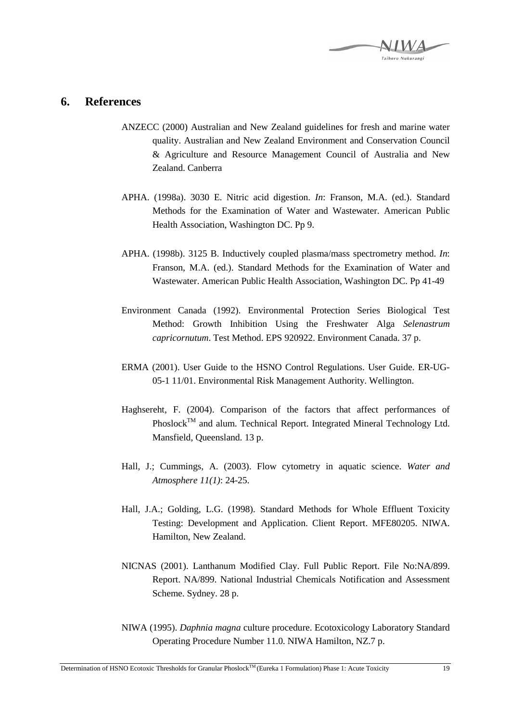

#### **6. References**

- ANZECC (2000) Australian and New Zealand guidelines for fresh and marine water quality. Australian and New Zealand Environment and Conservation Council & Agriculture and Resource Management Council of Australia and New Zealand. Canberra
- APHA. (1998a). 3030 E. Nitric acid digestion. *In*: Franson, M.A. (ed.). Standard Methods for the Examination of Water and Wastewater. American Public Health Association, Washington DC. Pp 9.
- APHA. (1998b). 3125 B. Inductively coupled plasma/mass spectrometry method. *In*: Franson, M.A. (ed.). Standard Methods for the Examination of Water and Wastewater. American Public Health Association, Washington DC. Pp 41-49
- Environment Canada (1992). Environmental Protection Series Biological Test Method: Growth Inhibition Using the Freshwater Alga *Selenastrum capricornutum*. Test Method. EPS 920922. Environment Canada. 37 p.
- ERMA (2001). User Guide to the HSNO Control Regulations. User Guide. ER-UG-05-1 11/01. Environmental Risk Management Authority. Wellington.
- Haghsereht, F. (2004). Comparison of the factors that affect performances of Phoslock<sup>TM</sup> and alum. Technical Report. Integrated Mineral Technology Ltd. Mansfield, Queensland. 13 p.
- Hall, J.; Cummings, A. (2003). Flow cytometry in aquatic science. *Water and Atmosphere 11(1)*: 24-25.
- Hall, J.A.; Golding, L.G. (1998). Standard Methods for Whole Effluent Toxicity Testing: Development and Application. Client Report. MFE80205. NIWA. Hamilton, New Zealand.
- NICNAS (2001). Lanthanum Modified Clay. Full Public Report. File No:NA/899. Report. NA/899. National Industrial Chemicals Notification and Assessment Scheme. Sydney. 28 p.
- NIWA (1995). *Daphnia magna* culture procedure. Ecotoxicology Laboratory Standard Operating Procedure Number 11.0. NIWA Hamilton, NZ.7 p.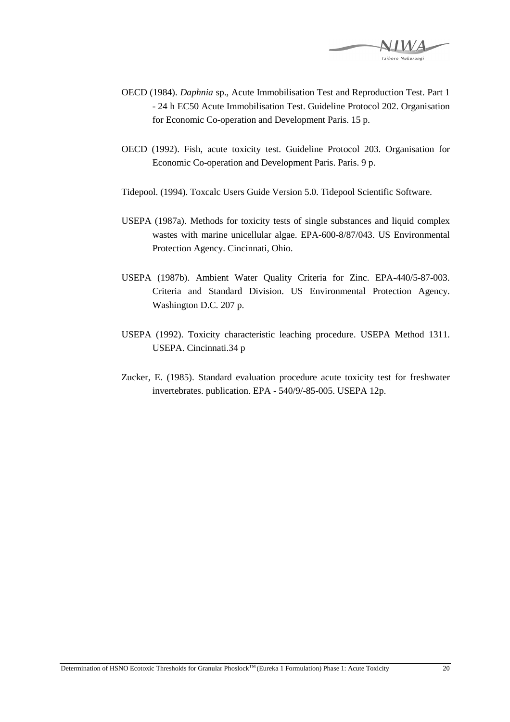

- OECD (1984). *Daphnia* sp., Acute Immobilisation Test and Reproduction Test. Part 1 - 24 h EC50 Acute Immobilisation Test. Guideline Protocol 202. Organisation for Economic Co-operation and Development Paris. 15 p.
- OECD (1992). Fish, acute toxicity test. Guideline Protocol 203. Organisation for Economic Co-operation and Development Paris. Paris. 9 p.
- Tidepool. (1994). Toxcalc Users Guide Version 5.0. Tidepool Scientific Software.
- USEPA (1987a). Methods for toxicity tests of single substances and liquid complex wastes with marine unicellular algae. EPA-600-8/87/043. US Environmental Protection Agency. Cincinnati, Ohio.
- USEPA (1987b). Ambient Water Quality Criteria for Zinc. EPA-440/5-87-003. Criteria and Standard Division. US Environmental Protection Agency. Washington D.C. 207 p.
- USEPA (1992). Toxicity characteristic leaching procedure. USEPA Method 1311. USEPA. Cincinnati.34 p
- Zucker, E. (1985). Standard evaluation procedure acute toxicity test for freshwater invertebrates. publication. EPA - 540/9/-85-005. USEPA 12p.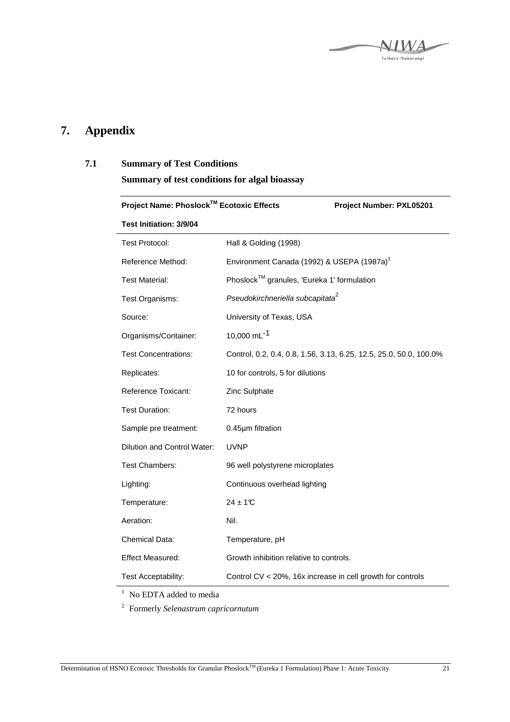

## **7. Appendix**

#### **7.1 Summary of Test Conditions**

**Summary of test conditions for algal bioassay** 

| Project Name: Phoslock™ Ecotoxic Effects |                                                            | Project Number: PXL05201                                           |
|------------------------------------------|------------------------------------------------------------|--------------------------------------------------------------------|
| Test Initiation: 3/9/04                  |                                                            |                                                                    |
| <b>Test Protocol:</b>                    | Hall & Golding (1998)                                      |                                                                    |
| Reference Method:                        | Environment Canada (1992) & USEPA (1987a) <sup>1</sup>     |                                                                    |
| <b>Test Material:</b>                    | Phoslock™ granules, 'Eureka 1' formulation                 |                                                                    |
| Test Organisms:                          | Pseudokirchneriella subcapitata <sup>2</sup>               |                                                                    |
| Source:                                  | University of Texas, USA                                   |                                                                    |
| Organisms/Container:                     | 10,000 mL <sup>-1</sup>                                    |                                                                    |
| <b>Test Concentrations:</b>              |                                                            | Control, 0.2, 0.4, 0.8, 1.56, 3.13, 6.25, 12.5, 25.0, 50.0, 100.0% |
| Replicates:                              | 10 for controls, 5 for dilutions                           |                                                                    |
| <b>Reference Toxicant:</b>               | Zinc Sulphate                                              |                                                                    |
| <b>Test Duration:</b>                    | 72 hours                                                   |                                                                    |
| Sample pre treatment:                    | 0.45µm filtration                                          |                                                                    |
| Dilution and Control Water:              | <b>UVNP</b>                                                |                                                                    |
| <b>Test Chambers:</b>                    | 96 well polystyrene microplates                            |                                                                    |
| Lighting:                                | Continuous overhead lighting                               |                                                                    |
| Temperature:                             | $24 \pm 1$ <sup>°</sup> C                                  |                                                                    |
| Aeration:                                | Nil.                                                       |                                                                    |
| Chemical Data:                           | Temperature, pH                                            |                                                                    |
| <b>Effect Measured:</b>                  | Growth inhibition relative to controls.                    |                                                                    |
| Test Acceptability:                      | Control CV < 20%, 16x increase in cell growth for controls |                                                                    |

<sup>1</sup> No EDTA added to media

2 Formerly *Selenastrum capricornutum*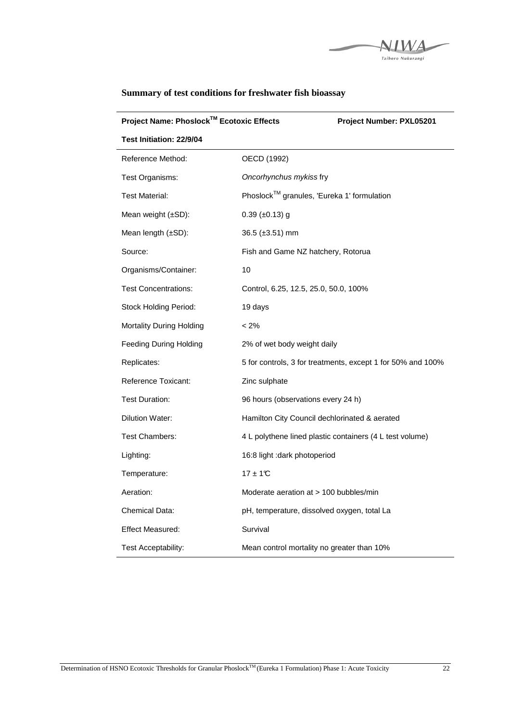

| Project Name: Phoslock™ Ecotoxic Effects | Project Number: PXL05201                                    |
|------------------------------------------|-------------------------------------------------------------|
| Test Initiation: 22/9/04                 |                                                             |
| Reference Method:                        | OECD (1992)                                                 |
| Test Organisms:                          | Oncorhynchus mykiss fry                                     |
| <b>Test Material:</b>                    | Phoslock™ granules, 'Eureka 1' formulation                  |
| Mean weight (±SD):                       | $0.39$ (±0.13) g                                            |
| Mean length (±SD):                       | 36.5 (±3.51) mm                                             |
| Source:                                  | Fish and Game NZ hatchery, Rotorua                          |
| Organisms/Container:                     | 10                                                          |
| <b>Test Concentrations:</b>              | Control, 6.25, 12.5, 25.0, 50.0, 100%                       |
| <b>Stock Holding Period:</b>             | 19 days                                                     |
| Mortality During Holding                 | $< 2\%$                                                     |
| <b>Feeding During Holding</b>            | 2% of wet body weight daily                                 |
| Replicates:                              | 5 for controls, 3 for treatments, except 1 for 50% and 100% |
| Reference Toxicant:                      | Zinc sulphate                                               |
| Test Duration:                           | 96 hours (observations every 24 h)                          |
| <b>Dilution Water:</b>                   | Hamilton City Council dechlorinated & aerated               |
| <b>Test Chambers:</b>                    | 4 L polythene lined plastic containers (4 L test volume)    |
| Lighting:                                | 16:8 light : dark photoperiod                               |
| Temperature:                             | $17 \pm 10$                                                 |
| Aeration:                                | Moderate aeration at > 100 bubbles/min                      |
| Chemical Data:                           | pH, temperature, dissolved oxygen, total La                 |
| <b>Effect Measured:</b>                  | Survival                                                    |
| Test Acceptability:                      | Mean control mortality no greater than 10%                  |

## **Summary of test conditions for freshwater fish bioassay**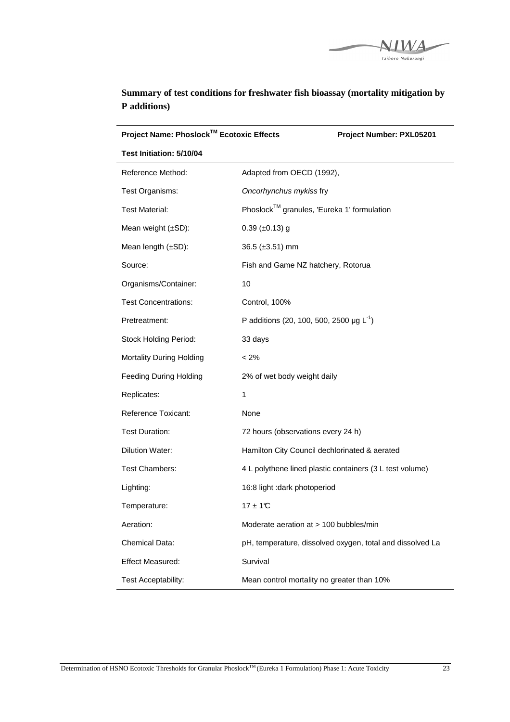

| Project Name: Phoslock™ Ecotoxic Effects |                                               | Project Number: PXL05201                                  |
|------------------------------------------|-----------------------------------------------|-----------------------------------------------------------|
| Test Initiation: 5/10/04                 |                                               |                                                           |
| Reference Method:                        | Adapted from OECD (1992),                     |                                                           |
| Test Organisms:                          | Oncorhynchus mykiss fry                       |                                                           |
| <b>Test Material:</b>                    | Phoslock™ granules, 'Eureka 1' formulation    |                                                           |
| Mean weight $(\pm SD)$ :                 | $0.39$ ( $\pm 0.13$ ) g                       |                                                           |
| Mean length (±SD):                       | $36.5 \ (\pm 3.51) \ \text{mm}$               |                                                           |
| Source:                                  | Fish and Game NZ hatchery, Rotorua            |                                                           |
| Organisms/Container:                     | 10                                            |                                                           |
| <b>Test Concentrations:</b>              | Control, 100%                                 |                                                           |
| Pretreatment:                            | P additions (20, 100, 500, 2500 µg $L^{-1}$ ) |                                                           |
| <b>Stock Holding Period:</b>             | 33 days                                       |                                                           |
| Mortality During Holding                 | $< 2\%$                                       |                                                           |
| <b>Feeding During Holding</b>            | 2% of wet body weight daily                   |                                                           |
| Replicates:                              | $\mathbf{1}$                                  |                                                           |
| Reference Toxicant:                      | None                                          |                                                           |
| <b>Test Duration:</b>                    | 72 hours (observations every 24 h)            |                                                           |
| Dilution Water:                          | Hamilton City Council dechlorinated & aerated |                                                           |
| <b>Test Chambers:</b>                    |                                               | 4 L polythene lined plastic containers (3 L test volume)  |
| Lighting:                                | 16:8 light : dark photoperiod                 |                                                           |
| Temperature:                             | $17 \pm 10$                                   |                                                           |
| Aeration:                                | Moderate aeration at > 100 bubbles/min        |                                                           |
| Chemical Data:                           |                                               | pH, temperature, dissolved oxygen, total and dissolved La |
| <b>Effect Measured:</b>                  | Survival                                      |                                                           |
| Test Acceptability:                      | Mean control mortality no greater than 10%    |                                                           |

## **Summary of test conditions for freshwater fish bioassay (mortality mitigation by P additions)**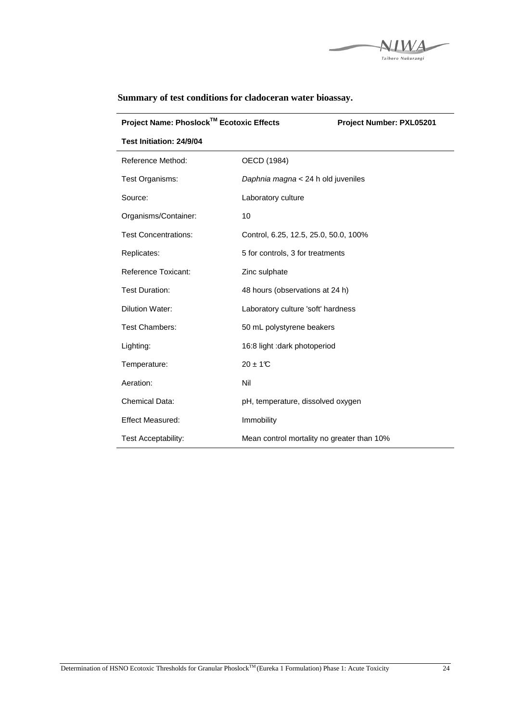

| Project Name: Phoslock™ Ecotoxic Effects | Project Number: PXL05201                   |  |
|------------------------------------------|--------------------------------------------|--|
| Test Initiation: 24/9/04                 |                                            |  |
| Reference Method:                        | OECD (1984)                                |  |
| Test Organisms:                          | Daphnia magna < 24 h old juveniles         |  |
| Source:                                  | Laboratory culture                         |  |
| Organisms/Container:                     | 10                                         |  |
| <b>Test Concentrations:</b>              | Control, 6.25, 12.5, 25.0, 50.0, 100%      |  |
| Replicates:                              | 5 for controls, 3 for treatments           |  |
| <b>Reference Toxicant:</b>               | Zinc sulphate                              |  |
| <b>Test Duration:</b>                    | 48 hours (observations at 24 h)            |  |
| <b>Dilution Water:</b>                   | Laboratory culture 'soft' hardness         |  |
| <b>Test Chambers:</b>                    | 50 mL polystyrene beakers                  |  |
| Lighting:                                | 16:8 light : dark photoperiod              |  |
| Temperature:                             | $20 \pm 1$ <sup>°</sup> C                  |  |
| Aeration:                                | Nil                                        |  |
| <b>Chemical Data:</b>                    | pH, temperature, dissolved oxygen          |  |
| <b>Effect Measured:</b>                  | Immobility                                 |  |
| Test Acceptability:                      | Mean control mortality no greater than 10% |  |

**Summary of test conditions for cladoceran water bioassay.**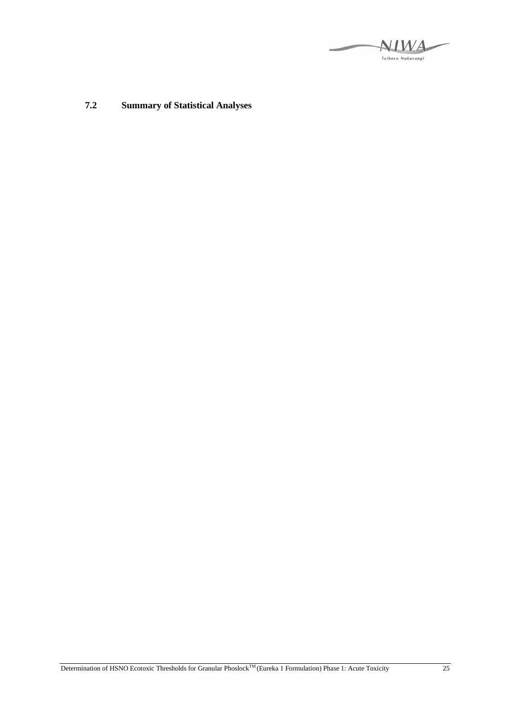**NIWA** Taihoro Nukurangi

**7.2 Summary of Statistical Analyses**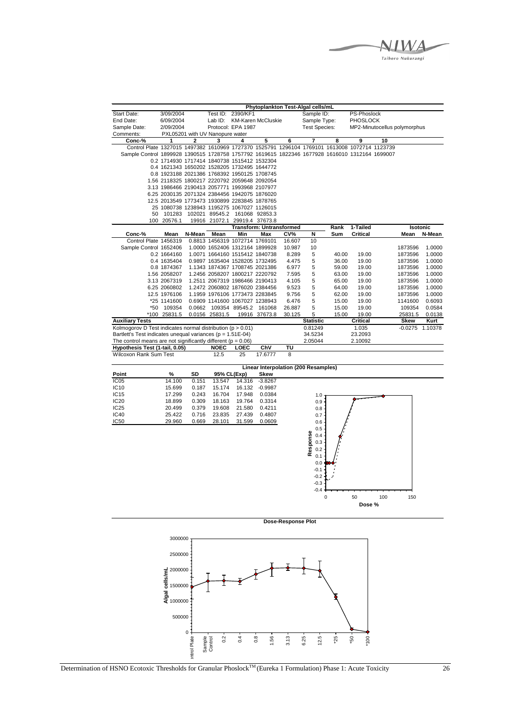

|                                                                                                |                        |        |                                                                                              |                    |                                 |                  | Phytoplankton Test-Algal cells/mL    |                |                              |    |                   |                  |
|------------------------------------------------------------------------------------------------|------------------------|--------|----------------------------------------------------------------------------------------------|--------------------|---------------------------------|------------------|--------------------------------------|----------------|------------------------------|----|-------------------|------------------|
| Start Date:                                                                                    | 3/09/2004              |        |                                                                                              | Test ID: 2390/KF1  |                                 |                  | Sample ID:                           |                | PS-Phoslock                  |    |                   |                  |
| End Date:                                                                                      | 6/09/2004              |        | Lab ID:                                                                                      |                    | <b>KM-Karen McCluskie</b>       |                  | Sample Type:                         |                | PHOSLOCK                     |    |                   |                  |
| Sample Date:                                                                                   | 2/09/2004              |        |                                                                                              | Protocol: EPA 1987 |                                 |                  | <b>Test Species:</b>                 |                | MP2-Minutocellus polymorphus |    |                   |                  |
| Comments:                                                                                      |                        |        | PXL05201 with UV Nanopure water                                                              |                    |                                 |                  |                                      |                |                              |    |                   |                  |
| Conc-%                                                                                         | 1                      | 2      | 3                                                                                            | 4                  | 5                               | $\overline{6}$   | 7                                    | 8              | $\overline{9}$               | 10 |                   |                  |
| Control Plate 1327015 1497382 1610969 1727370 1525791 1296104 1769101 1613008 1072714 1123739  |                        |        |                                                                                              |                    |                                 |                  |                                      |                |                              |    |                   |                  |
| Sample Control 1899928 1390515 1728758 1757792 1619615 1822346 1677928 1616010 1312164 1699007 |                        |        |                                                                                              |                    |                                 |                  |                                      |                |                              |    |                   |                  |
|                                                                                                |                        |        | 0.2 1714930 1717414 1840738 1515412 1532304                                                  |                    |                                 |                  |                                      |                |                              |    |                   |                  |
|                                                                                                |                        |        | 0.4 1621343 1650202 1528205 1732495 1644772                                                  |                    |                                 |                  |                                      |                |                              |    |                   |                  |
|                                                                                                |                        |        | 0.8 1923188 2021386 1768392 1950125 1708745                                                  |                    |                                 |                  |                                      |                |                              |    |                   |                  |
|                                                                                                |                        |        | 1.56 2118325 1800217 2220792 2059648 2092054                                                 |                    |                                 |                  |                                      |                |                              |    |                   |                  |
|                                                                                                |                        |        | 3.13 1986466 2190413 2057771 1993968 2107977<br>6.25 2030135 2071324 2384456 1942075 1876020 |                    |                                 |                  |                                      |                |                              |    |                   |                  |
|                                                                                                |                        |        | 12.5 2013549 1773473 1930899 2283845 1878765                                                 |                    |                                 |                  |                                      |                |                              |    |                   |                  |
|                                                                                                |                        |        | 25 1080738 1238943 1195275 1067027 1126015                                                   |                    |                                 |                  |                                      |                |                              |    |                   |                  |
| 50                                                                                             |                        |        | 101283 102021 89545.2 161068 92853.3                                                         |                    |                                 |                  |                                      |                |                              |    |                   |                  |
| 100                                                                                            | 20576.1                |        | 19916 21072.1 29919.4 37673.8                                                                |                    |                                 |                  |                                      |                |                              |    |                   |                  |
|                                                                                                |                        |        |                                                                                              |                    | <b>Transform: Untransformed</b> |                  |                                      | Rank           | 1-Tailed                     |    |                   | Isotonic         |
| Conc-%                                                                                         | Mean                   | N-Mean | Mean                                                                                         | Min                | Max                             | CV%              | N                                    | Sum            | Critical                     |    | Mean              | N-Mean           |
| Control Plate 1456319                                                                          |                        |        | 0.8813 1456319 1072714 1769101                                                               |                    |                                 | 16.607           | 10                                   |                |                              |    |                   |                  |
| Sample Control 1652406                                                                         |                        |        | 1.0000 1652406 1312164 1899928                                                               |                    |                                 | 10.987           | 10                                   |                |                              |    | 1873596           | 1.0000           |
|                                                                                                | 0.2 1664160            |        | 1.0071 1664160 1515412 1840738                                                               |                    |                                 | 8.289            | 5                                    | 40.00          | 19.00                        |    | 1873596           | 1.0000           |
|                                                                                                | 0.4 1635404            |        | 0.9897 1635404 1528205 1732495                                                               |                    |                                 | 4.475            | 5                                    | 36.00          | 19.00                        |    | 1873596           | 1.0000           |
|                                                                                                | 0.8 1874367            |        | 1.1343 1874367 1708745 2021386                                                               |                    |                                 | 6.977            | 5                                    | 59.00          | 19.00                        |    | 1873596           | 1.0000           |
|                                                                                                | 1.56 2058207           |        | 1.2456 2058207 1800217 2220792                                                               |                    |                                 | 7.595            | 5                                    | 63.00          | 19.00                        |    | 1873596           | 1.0000           |
|                                                                                                | 3.13 2067319           |        | 1.2511 2067319 1986466 2190413                                                               |                    |                                 | 4.105            | 5                                    | 65.00          | 19.00                        |    | 1873596           | 1.0000           |
|                                                                                                | 6.25 2060802           |        | 1.2472 2060802 1876020 2384456                                                               |                    |                                 | 9.523            | 5                                    | 64.00          | 19.00                        |    | 1873596           | 1.0000           |
|                                                                                                | 12.5 1976106           |        | 1.1959 1976106 1773473 2283845                                                               |                    |                                 | 9.756            | 5                                    | 62.00          | 19.00                        |    | 1873596           | 1.0000           |
|                                                                                                | *25 1141600            |        | 0.6909 1141600 1067027 1238943                                                               |                    |                                 | 6.476            | 5                                    | 15.00          | 19.00                        |    | 1141600           | 0.6093           |
| *50                                                                                            | 109354<br>*100 25831.5 |        | 0.0662 109354 89545.2 161068<br>0.0156 25831.5                                               |                    | 19916 37673.8                   | 26.887<br>30.125 | 5<br>5                               | 15.00<br>15.00 | 19.00<br>19.00               |    | 109354<br>25831.5 | 0.0584<br>0.0138 |
| <b>Auxiliary Tests</b>                                                                         |                        |        |                                                                                              |                    |                                 |                  | <b>Statistic</b>                     |                | Critical                     |    | Skew              | Kurt             |
| Kolmogorov D Test indicates normal distribution (p > 0.01)                                     |                        |        |                                                                                              |                    |                                 |                  | 0.81249                              |                | 1.035                        |    |                   | -0.0275 1.10378  |
| Bartlett's Test indicates unequal variances (p = 1.51E-04)                                     |                        |        |                                                                                              |                    |                                 |                  | 34.5234                              |                | 23.2093                      |    |                   |                  |
| The control means are not significantly different ( $p = 0.06$ )                               |                        |        |                                                                                              |                    |                                 |                  | 2.05044                              |                | 2.10092                      |    |                   |                  |
| Hypothesis Test (1-tail, 0.05)                                                                 |                        |        | <b>NOEC</b>                                                                                  | LOEC               | ChV                             | τυ               |                                      |                |                              |    |                   |                  |
| Wilcoxon Rank Sum Test                                                                         |                        |        | 12.5                                                                                         | 25                 | 17.6777                         | 8                |                                      |                |                              |    |                   |                  |
|                                                                                                |                        |        |                                                                                              |                    |                                 |                  |                                      |                |                              |    |                   |                  |
| Point                                                                                          | %                      | SD     | 95% CL(Exp)                                                                                  |                    | <b>Skew</b>                     |                  | Linear Interpolation (200 Resamples) |                |                              |    |                   |                  |
| IC <sub>05</sub>                                                                               | 14.100                 | 0.151  | 13.547                                                                                       | 14.316             | $-3.8267$                       |                  |                                      |                |                              |    |                   |                  |
| IC10                                                                                           | 15.699                 | 0.187  | 15.174                                                                                       |                    | 16.132 -0.9987                  |                  |                                      |                |                              |    |                   |                  |
| IC15                                                                                           | 17.299                 | 0.243  | 16.704                                                                                       | 17.948             | 0.0384                          |                  | $1.0$                                |                |                              |    |                   |                  |
| IC <sub>20</sub>                                                                               | 18.899                 | 0.309  | 18.163                                                                                       | 19.764             | 0.3314                          |                  | 0.9                                  |                |                              |    |                   |                  |
| IC <sub>25</sub>                                                                               | 20.499                 | 0.379  | 19.608                                                                                       | 21.580             | 0.4211                          |                  | 0.8                                  |                |                              |    |                   |                  |
| IC <sub>40</sub>                                                                               | 25.422                 | 0.716  | 23.835                                                                                       | 27.439             | 0.4807                          |                  | 0.7                                  |                |                              |    |                   |                  |
| <b>IC50</b>                                                                                    | 29.960                 | 0.669  | 28.101                                                                                       | 31.599             | 0.0609                          |                  | 0.6                                  |                |                              |    |                   |                  |
|                                                                                                |                        |        |                                                                                              |                    |                                 |                  | 0.5                                  |                |                              |    |                   |                  |
|                                                                                                |                        |        |                                                                                              |                    |                                 |                  | Response<br>0.4                      |                |                              |    |                   |                  |
|                                                                                                |                        |        |                                                                                              |                    |                                 |                  | 0.3                                  |                |                              |    |                   |                  |
|                                                                                                |                        |        |                                                                                              |                    |                                 |                  | 0.2                                  |                |                              |    |                   |                  |
|                                                                                                |                        |        |                                                                                              |                    |                                 |                  | 0.1                                  |                |                              |    |                   |                  |
|                                                                                                |                        |        |                                                                                              |                    |                                 |                  | 0.0                                  |                |                              |    |                   |                  |
|                                                                                                |                        |        |                                                                                              |                    |                                 |                  | $-0.1$                               |                |                              |    |                   |                  |
|                                                                                                |                        |        |                                                                                              |                    |                                 |                  | $-0.2$                               |                |                              |    |                   |                  |
|                                                                                                |                        |        |                                                                                              |                    |                                 |                  | $-0.3$                               |                |                              |    |                   |                  |
|                                                                                                |                        |        |                                                                                              |                    |                                 |                  | $-0.4$                               |                |                              |    |                   |                  |

0 50 100 150 **Dose %** 

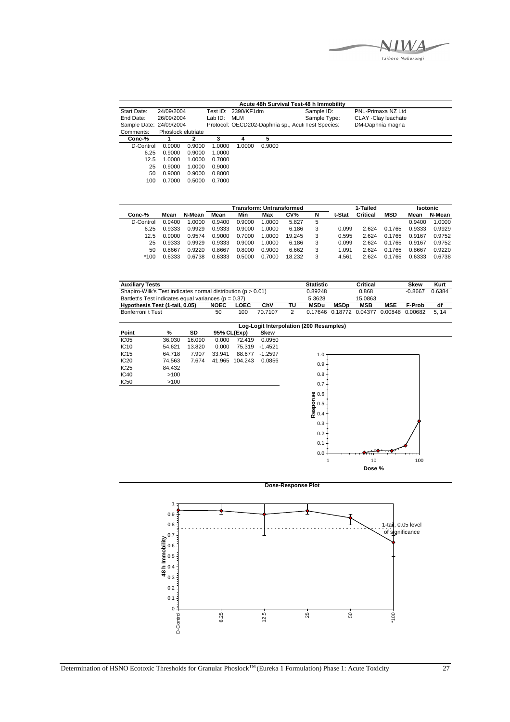Taihoro Nukurangi

|                         |                    |        |         |                     |        | Acute 48h Survival Test-48 h Immobility           |                     |  |
|-------------------------|--------------------|--------|---------|---------------------|--------|---------------------------------------------------|---------------------|--|
| Start Date:             | 24/09/2004         |        |         | Test ID: 2390/KF1dm |        | Sample ID:                                        | PNL-Primaxa NZ Ltd  |  |
| End Date:               | 26/09/2004         |        | Lab ID: | MLM                 |        | Sample Type:                                      | CLAY -Clay leachate |  |
| Sample Date: 24/09/2004 |                    |        |         |                     |        | Protocol: OECD202-Daphnia sp., Acut Test Species: | DM-Daphnia magna    |  |
| Comments:               | Phoslock elutriate |        |         |                     |        |                                                   |                     |  |
| Conc-%                  |                    | 2      |         |                     |        |                                                   |                     |  |
| D-Control               | 0.9000             | 0.9000 | 1.0000  | 1.0000              | 0.9000 |                                                   |                     |  |
| 6.25                    | 0.9000             | 0.9000 | 1.0000  |                     |        |                                                   |                     |  |
| 12.5                    | 1.0000             | 1.0000 | 0.7000  |                     |        |                                                   |                     |  |
| 25                      | 0.9000             | 1.0000 | 0.9000  |                     |        |                                                   |                     |  |
| 50                      | 0.9000             | 0.9000 | 0.8000  |                     |        |                                                   |                     |  |
| 100                     | 0.7000             | 0.5000 | 0.7000  |                     |        |                                                   |                     |  |

|           |        |        | <b>Transform: Untransformed</b> |        |        |        |   |        | 1-Tailed |            |        | <b>Isotonic</b> |  |  |  |  |
|-----------|--------|--------|---------------------------------|--------|--------|--------|---|--------|----------|------------|--------|-----------------|--|--|--|--|
| Conc-%    | Mean   | N-Mean | Mean                            | Min    | Max    | CV%    | N | t-Stat | Critical | <b>MSD</b> | Mean   | N-Mean          |  |  |  |  |
| D-Control | 0.9400 | 1.0000 | 0.9400                          | 0.9000 | 0000.  | 5.827  | 5 |        |          |            | 0.9400 | 1.0000          |  |  |  |  |
| 6.25      | 0.9333 | 0.9929 | 0.9333                          | 0.9000 | 0000   | 6.186  | 3 | 0.099  | 2.624    | 0.1765     | 0.9333 | 0.9929          |  |  |  |  |
| 12.5      | 0.9000 | 0.9574 | 0.9000                          | 0.7000 | .0000  | 19.245 | 3 | 0.595  | 2.624    | 0.1765     | 0.9167 | 0.9752          |  |  |  |  |
| 25        | 0.9333 | 0.9929 | 0.9333                          | 0.9000 | 1.0000 | 6.186  | 3 | 0.099  | 2.624    | 0.1765     | 0.9167 | 0.9752          |  |  |  |  |
| 50        | 0.8667 | 0.9220 | 0.8667                          | 0.8000 | 0.9000 | 6.662  | 3 | 1.091  | 2.624    | 0.1765     | 0.8667 | 0.9220          |  |  |  |  |
| $*100$    | 0.6333 | 0.6738 | 0.6333                          | 0.5000 | 0.7000 | 18.232 | 3 | 4.561  | 2.624    | 0.1765     | 0.6333 | 0.6738          |  |  |  |  |

| <b>Auxiliary Tests</b>                                           |             |      |         |    | <b>Statistic</b> |                         | Critical   |                 | <b>Skew</b> | Kurt   |
|------------------------------------------------------------------|-------------|------|---------|----|------------------|-------------------------|------------|-----------------|-------------|--------|
| Shapiro-Wilk's Test indicates normal distribution ( $p > 0.01$ ) |             |      |         |    | 0.89248          |                         | 0.868      |                 | $-0.8667$   | 0.6384 |
| Bartlett's Test indicates equal variances ( $p = 0.37$ )         |             |      |         |    | 5.3628           |                         | 15.0863    |                 |             |        |
| Hypothesis Test (1-tail, 0.05)                                   | <b>NOEC</b> | LOEC | ChV     | тu | <b>MSDu</b>      | <b>MSDp</b>             | <b>MSB</b> | <b>MSE</b>      | F-Prob      | df     |
| Bonferroni t Test                                                | 50          | 100  | 70 7107 |    |                  | 0.17646 0.18772 0.04377 |            | 0.00848 0.00682 |             | 5.14   |

|                  |        |        |             |         |           | Log-Logit Interpolation (200 Resamples) |
|------------------|--------|--------|-------------|---------|-----------|-----------------------------------------|
| Point            | %      | SD     | 95% CL(Exp) |         | Skew      |                                         |
| IC <sub>05</sub> | 36.030 | 16.090 | 0.000       | 72.419  | 0.0950    |                                         |
| IC10             | 54.621 | 13.820 | 0.000       | 75.319  | $-1.4521$ |                                         |
| IC <sub>15</sub> | 64.718 | 7.907  | 33.941      | 88.677  | $-1.2597$ | 1.0                                     |
| <b>IC20</b>      | 74.563 | 7.674  | 41.965      | 104.243 | 0.0856    |                                         |
| IC25             | 84.432 |        |             |         |           | 0.9                                     |
| <b>IC40</b>      | >100   |        |             |         |           | 0.8                                     |
| <b>IC50</b>      | >100   |        |             |         |           | 0.7                                     |
|                  |        |        |             |         |           |                                         |
|                  |        |        |             |         |           |                                         |
|                  |        |        |             |         |           |                                         |
|                  |        |        |             |         |           | Response<br>0.5<br>0.4                  |
|                  |        |        |             |         |           |                                         |
|                  |        |        |             |         |           | 0.3                                     |
|                  |        |        |             |         |           | 0.2                                     |
|                  |        |        |             |         |           |                                         |
|                  |        |        |             |         |           | 0.1                                     |
|                  |        |        |             |         |           | 0.0                                     |



1 10 100 **Dose %** 

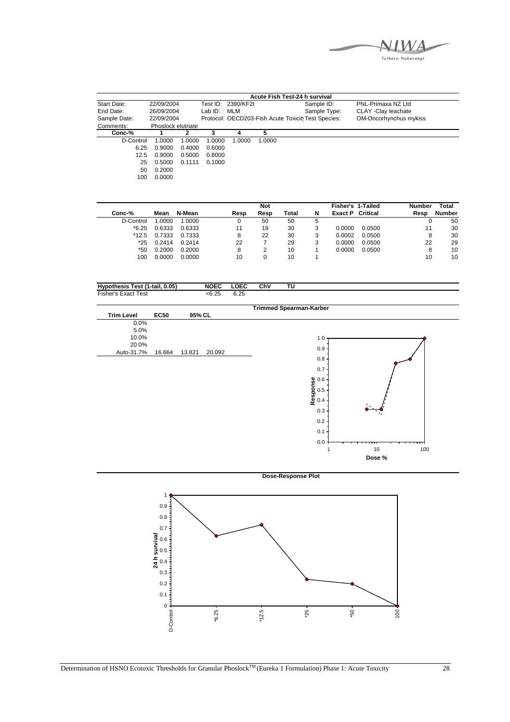

|              |                    |        |         |                    |        | Acute Fish Test-24 h survival                      |                        |  |
|--------------|--------------------|--------|---------|--------------------|--------|----------------------------------------------------|------------------------|--|
| Start Date:  | 22/09/2004         |        |         | Test ID: 2390/KF2t |        | Sample ID:                                         | PNL-Primaxa NZ Ltd     |  |
| End Date:    | 26/09/2004         |        | Lab ID: | MLM                |        | Sample Type:                                       | CLAY - Clay leachate   |  |
| Sample Date: | 22/09/2004         |        |         |                    |        | Protocol: OECD203-Fish Acute Toxicit Test Species: | OM-Oncorhynchus mykiss |  |
| Comments:    | Phoslock elutriate |        |         |                    |        |                                                    |                        |  |
| Conc-%       |                    | 2      | 3       |                    | 5      |                                                    |                        |  |
| D-Control    | 1.0000             | 1.0000 | 1.0000  | 1.0000             | 1.0000 |                                                    |                        |  |
| 6.25         | 0.9000             | 0.4000 | 0.6000  |                    |        |                                                    |                        |  |
| 12.5         | 0.9000             | 0.5000 | 0.8000  |                    |        |                                                    |                        |  |
| 25           | 0.5000             | 0.1111 | 0.1000  |                    |        |                                                    |                        |  |
| 50           | 0.2000             |        |         |                    |        |                                                    |                        |  |
| 100          | 0.0000             |        |         |                    |        |                                                    |                        |  |
|              |                    |        |         |                    |        |                                                    |                        |  |

|           |        |        |      | <b>Not</b> |       |   | <b>Fisher's 1-Tailed</b> |          | <b>Number</b> | Total  |
|-----------|--------|--------|------|------------|-------|---|--------------------------|----------|---------------|--------|
| Conc-%    | Mean   | N-Mean | Resp | Resp       | Total | N | Exact P                  | Critical | Resp          | Number |
| D-Control | .0000  | 1.0000 |      | 50         | 50    | 5 |                          |          |               | 50     |
| $*6.25$   | 0.6333 | 0.6333 | 11   | 19         | 30    | 3 | 0.0000                   | 0.0500   | 11            | 30     |
| $*12.5$   | 0.7333 | 0.7333 | 8    | 22         | 30    | 3 | 0.0002                   | 0.0500   |               | 30     |
| *25       | 0.2414 | 0.2414 | 22   |            | 29    | 3 | 0.0000                   | 0.0500   | 22            | 29     |
| *50       | 0.2000 | 0.2000 | 8    |            | 10    |   | 0.0000                   | 0.0500   | 8             | 10     |
| 100       | 0.0000 | 0.0000 | 10   |            | 10    |   |                          |          | 10            | 10     |

| 0.05)<br><b>Hypo</b><br>√1-tail.<br>Test .<br>hesis | <b>NOEC</b> | .OEC | ChV | ΤU |  |
|-----------------------------------------------------|-------------|------|-----|----|--|
| Fisher's<br>Test<br>Exact                           | < 6.25      | ∪…∠∪ |     |    |  |



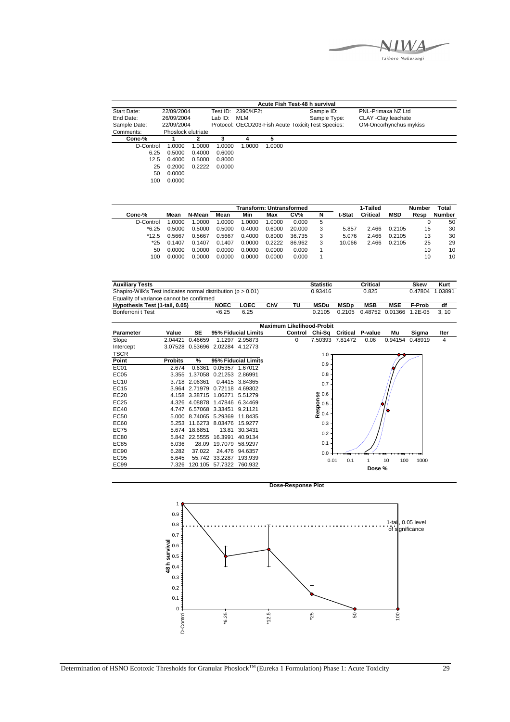Taihoro Nukurangi

|              |                    |        |         |                    | Acute Fish Test-48 h survival |                                                    |                        |
|--------------|--------------------|--------|---------|--------------------|-------------------------------|----------------------------------------------------|------------------------|
| Start Date:  | 22/09/2004         |        |         | Test ID: 2390/KF2t |                               | Sample ID:                                         | PNL-Primaxa NZ Ltd     |
| End Date:    | 26/09/2004         |        | Lab ID: | MLM                |                               | Sample Type:                                       | CLAY - Clay leachate   |
| Sample Date: | 22/09/2004         |        |         |                    |                               | Protocol: OECD203-Fish Acute Toxicit Test Species: | OM-Oncorhynchus mykiss |
| Comments:    | Phoslock elutriate |        |         |                    |                               |                                                    |                        |
| Conc-%       |                    |        | 3       | 4                  |                               |                                                    |                        |
| D-Control    | 1.0000             | 1.0000 | 1.0000  | 1.0000             | 1.0000                        |                                                    |                        |
| 6.25         | 0.5000             | 0.4000 | 0.6000  |                    |                               |                                                    |                        |
| 12.5         | 0.4000             | 0.5000 | 0.8000  |                    |                               |                                                    |                        |
| 25           | 0.2000             | 0.2222 | 0.0000  |                    |                               |                                                    |                        |
| 50           | 0.0000             |        |         |                    |                               |                                                    |                        |
| 100          | 0.0000             |        |         |                    |                               |                                                    |                        |

|           |        |        |        | <b>Transform: Untransformed</b> |        |        |   |        | 1-Tailed |            | Number | Total         |
|-----------|--------|--------|--------|---------------------------------|--------|--------|---|--------|----------|------------|--------|---------------|
| Conc-%    | Mean   | N-Mean | Mean   | Min                             | Max    | CV%    | N | t-Stat | Critical | <b>MSD</b> | Resp   | <b>Number</b> |
| D-Control | .0000  | 1.0000 | .0000  | .0000                           | 1.0000 | 0.000  | 5 |        |          |            |        | 50            |
| $*6.25$   | 0.5000 | 0.5000 | 0.5000 | 0.4000                          | 0.6000 | 20.000 |   | 5.857  | 2.466    | 0.2105     | 15     | 30            |
| $*12.5$   | 0.5667 | 0.5667 | 0.5667 | 0.4000                          | 0.8000 | 36.735 |   | 5.076  | 2.466    | 0.2105     | 13     | 30            |
| *25       | 0.1407 | 0.1407 | 0.1407 | 0.0000                          | 0.2222 | 86.962 |   | 10.066 | 2.466    | 0.2105     | 25     | 29            |
| 50.       | 0.0000 | 0.0000 | 0.0000 | 0.0000                          | 0.0000 | 0.000  |   |        |          |            | 10     | 10            |
| 100       | 0.0000 | 0.0000 | 0.0000 | 0.0000                          | 0.0000 | 0.000  |   |        |          |            | 10     | 10            |

| <b>Auxiliary Tests</b>                                           |                |               |                                 |                     |     |                                  | <b>Statistic</b>                       |                 | <b>Critical</b>         |            | <b>Skew</b> | Kurt    |
|------------------------------------------------------------------|----------------|---------------|---------------------------------|---------------------|-----|----------------------------------|----------------------------------------|-----------------|-------------------------|------------|-------------|---------|
| Shapiro-Wilk's Test indicates normal distribution ( $p > 0.01$ ) |                |               |                                 |                     |     |                                  | 0.93416                                |                 | 0.825                   |            | 0.47804     | 1.03891 |
| Equality of variance cannot be confirmed                         |                |               |                                 |                     |     |                                  |                                        |                 |                         |            |             |         |
| Hypothesis Test (1-tail, 0.05)                                   |                |               | <b>NOEC</b>                     | LOEC                | ChV | ΤU                               | <b>MSDu</b>                            | <b>MSDp</b>     | <b>MSB</b>              | <b>MSE</b> | F-Prob      | df      |
| Bonferroni t Test                                                |                |               | < 6.25                          | 6.25                |     |                                  | 0.2105                                 | 0.2105          | 0.48752                 | 0.01366    | 1.2E-05     | 3, 10   |
|                                                                  |                |               |                                 |                     |     | <b>Maximum Likelihood-Probit</b> |                                        |                 |                         |            |             |         |
|                                                                  |                |               |                                 |                     |     |                                  |                                        |                 |                         |            |             |         |
| <b>Parameter</b>                                                 | Value          | <b>SE</b>     |                                 | 95% Fiducial Limits |     | Control                          | Chi-Sa                                 |                 | <b>Critical P-value</b> | Mu         | Sigma       | Iter    |
| Slope                                                            | 2.04421        | 0.46659       |                                 | 1.1297 2.95873      |     | 0                                |                                        | 7.50393 7.81472 | 0.06                    | 0.94154    | 0.48919     | 4       |
| Intercept                                                        |                |               | 3.07528 0.53696 2.02284 4.12773 |                     |     |                                  |                                        |                 |                         |            |             |         |
| <b>TSCR</b>                                                      |                |               |                                 |                     |     |                                  | 1.0                                    |                 |                         |            |             |         |
| Point                                                            | <b>Probits</b> | %             |                                 | 95% Fiducial Limits |     |                                  | 0.9                                    |                 |                         |            |             |         |
| EC01                                                             | 2.674          | 0.6361        |                                 | 0.05357 1.67012     |     |                                  |                                        |                 |                         |            |             |         |
| EC <sub>05</sub>                                                 | 3.355          |               | 1.37058 0.21253 2.86991         |                     |     |                                  | 0.8                                    |                 |                         |            |             |         |
| EC10                                                             |                | 3.718 2.06361 |                                 | 0.4415 3.84365      |     |                                  | 0.7                                    |                 |                         |            |             |         |
| <b>EC15</b>                                                      |                |               | 3.964 2.71979 0.72118 4.69302   |                     |     |                                  |                                        |                 |                         |            |             |         |
| EC20                                                             |                |               | 4.158 3.38715 1.06271           | 5.51279             |     |                                  | <b>Response</b><br><b>C</b> 0.5<br>0.4 |                 |                         |            |             |         |
| EC25                                                             |                |               | 4.326 4.08878 1.47846 6.34469   |                     |     |                                  |                                        |                 |                         |            |             |         |
| EC40                                                             | 4.747          |               | 6.57068 3.33451 9.21121         |                     |     |                                  |                                        |                 |                         |            |             |         |
| <b>EC50</b>                                                      |                |               | 5.000 8.74065 5.29369 11.8435   |                     |     |                                  |                                        |                 |                         |            |             |         |
| EC60                                                             | 5.253          |               | 11.6273 8.03476                 | 15.9277             |     |                                  | 0.3                                    |                 |                         |            |             |         |
| <b>EC75</b>                                                      | 5.674          | 18.6851       | 13.81                           | 30.3431             |     |                                  |                                        |                 |                         |            |             |         |
| <b>EC80</b>                                                      |                | 5.842 22.5555 | 16.3991                         | 40.9134             |     |                                  | 0.2                                    |                 |                         |            |             |         |
| <b>EC85</b>                                                      | 6.036          | 28.09         | 19.7079                         | 58.9297             |     |                                  | 0.1                                    |                 |                         |            |             |         |
| <b>EC90</b>                                                      | 6.282          | 37.022        |                                 | 24.476 94.6357      |     |                                  | 0.0                                    |                 |                         |            |             |         |
| <b>EC95</b>                                                      | 6.645          |               | 55.742 33.2287 193.939          |                     |     |                                  | 0.01                                   | 0.1             |                         | 10<br>100  | 1000        |         |
| <b>EC99</b>                                                      | 7.326          |               | 120.105 57.7322 760.932         |                     |     |                                  |                                        |                 |                         |            |             |         |
|                                                                  |                |               |                                 |                     |     |                                  |                                        |                 | Dose %                  |            |             |         |



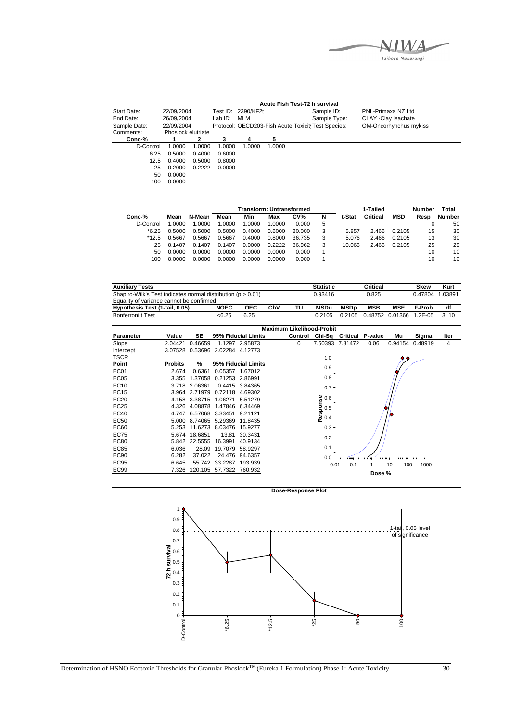Taihoro Nukurangi

|              |                    |        |         |                    |        | Acute Fish Test-72 h survival                      |                        |
|--------------|--------------------|--------|---------|--------------------|--------|----------------------------------------------------|------------------------|
| Start Date:  | 22/09/2004         |        |         | Test ID: 2390/KF2t |        | Sample ID:                                         | PNL-Primaxa NZ Ltd     |
| End Date:    | 26/09/2004         |        | Lab ID: | MLM                |        | Sample Type:                                       | CLAY - Clay leachate   |
| Sample Date: | 22/09/2004         |        |         |                    |        | Protocol: OECD203-Fish Acute Toxicit Test Species: | OM-Oncorhynchus mykiss |
| Comments:    | Phoslock elutriate |        |         |                    |        |                                                    |                        |
| $Conc-%$     |                    | 2      | 3       |                    | 5      |                                                    |                        |
| D-Control    | 1.0000             | 1.0000 | 1.0000  | 1.0000             | 1.0000 |                                                    |                        |
| 6.25         | 0.5000             | 0.4000 | 0.6000  |                    |        |                                                    |                        |
| 12.5         | 0.4000             | 0.5000 | 0.8000  |                    |        |                                                    |                        |
| 25           | 0.2000             | 0.2222 | 0.0000  |                    |        |                                                    |                        |
| 50           | 0.0000             |        |         |                    |        |                                                    |                        |
| 100          | 0.0000             |        |         |                    |        |                                                    |                        |
|              |                    |        |         |                    |        |                                                    |                        |

|           |        |        |        | Transform: Untransformed |        |        |   |        | 1-Tailed |            | <b>Number</b> | Total         |
|-----------|--------|--------|--------|--------------------------|--------|--------|---|--------|----------|------------|---------------|---------------|
| Conc-%    | Mean   | N-Mean | Mean   | Min                      | Max    | CV%    | N | t-Stat | Critical | <b>MSD</b> | Resp          | <b>Number</b> |
| D-Control | .0000  | 1.0000 | .0000  | .0000                    | 1.0000 | 0.000  | 5 |        |          |            |               | 50            |
| $*6.25$   | 0.5000 | 0.5000 | 0.5000 | 0.4000                   | 0.6000 | 20.000 |   | 5.857  | 2.466    | 0.2105     | 15            | 30            |
| $*12.5$   | 0.5667 | 0.5667 | 0.5667 | 0.4000                   | 0.8000 | 36.735 |   | 5.076  | 2.466    | 0.2105     | 13            | 30            |
| $*25$     | 0.1407 | 0.1407 | 0.1407 | 0.0000                   | 0.2222 | 86.962 | 3 | 10.066 | 2.466    | 0.2105     | 25            | 29            |
| 50        | 0.0000 | 0.0000 | 0.0000 | 0.0000                   | 0.0000 | 0.000  |   |        |          |            | 10            | 10            |
| 100       | 0.0000 | ე.0000 | 0.0000 | 0.0000                   | 0.0000 | 0.000  |   |        |          |            | 10            | 10            |

| <b>Auxiliary Tests</b>                                       |             |      |     |    | <b>Statistic</b> |        | Critical   |            | <b>Skew</b>     | Kurt |
|--------------------------------------------------------------|-------------|------|-----|----|------------------|--------|------------|------------|-----------------|------|
| Shapiro-Wilk's Test indicates normal distribution (p > 0.01) |             |      |     |    | 0.93416          |        | 0.825      |            | 0.47804 1.03891 |      |
| Equality of variance cannot be confirmed                     |             |      |     |    |                  |        |            |            |                 |      |
| Hypothesis Test (1-tail, 0.05)                               | <b>NOEC</b> | _OEC | ChV | τu | <b>MSDu</b>      | MSDp   | <b>MSB</b> | <b>MSE</b> | F-Prob          | df   |
| Bonferroni t Test                                            | <6.25       | 6.25 |     |    | 0.2105           | 0.2105 |            |            |                 | 3.10 |

|                  |                |               |                                 |                            | <b>Maximum Likelihood-Probit</b> |                        |                                 |        |           |                 |      |
|------------------|----------------|---------------|---------------------------------|----------------------------|----------------------------------|------------------------|---------------------------------|--------|-----------|-----------------|------|
| <b>Parameter</b> | Value          | SE            |                                 | <b>95% Fiducial Limits</b> |                                  |                        | Control Chi-Sq Critical P-value |        | Mu        | Sigma           | Iter |
| Slope            | 2.04421        | 0.46659       |                                 | 1.1297 2.95873             | 0                                |                        | 7.50393 7.81472                 | 0.06   |           | 0.94154 0.48919 | 4    |
| Intercept        |                |               | 3.07528 0.53696 2.02284 4.12773 |                            |                                  |                        |                                 |        |           |                 |      |
| <b>TSCR</b>      |                |               |                                 |                            |                                  | 1.0                    |                                 |        |           |                 |      |
| Point            | <b>Probits</b> | %             |                                 | 95% Fiducial Limits        |                                  | 0.9                    |                                 |        |           |                 |      |
| <b>EC01</b>      | 2.674          | 0.6361        | 0.05357 1.67012                 |                            |                                  |                        |                                 |        |           |                 |      |
| EC <sub>05</sub> | 3.355          |               | 1.37058 0.21253 2.86991         |                            |                                  | 0.8                    |                                 |        |           |                 |      |
| EC <sub>10</sub> |                | 3.718 2.06361 |                                 | 0.4415 3.84365             |                                  | 0.7                    |                                 |        |           |                 |      |
| EC15             |                | 3.964 2.71979 | 0.72118 4.69302                 |                            |                                  |                        |                                 |        |           |                 |      |
| EC20             |                | 4.158 3.38715 | 1.06271                         | 5.51279                    |                                  |                        |                                 |        |           |                 |      |
| EC25             |                |               | 4.326 4.08878 1.47846 6.34469   |                            |                                  | Response<br>0.5<br>0.4 |                                 |        |           |                 |      |
| EC40             |                |               | 4.747 6.57068 3.33451 9.21121   |                            |                                  |                        |                                 |        |           |                 |      |
| EC <sub>50</sub> |                |               | 5.000 8.74065 5.29369 11.8435   |                            |                                  |                        |                                 |        |           |                 |      |
| EC60             | 5.253          |               | 11.6273 8.03476 15.9277         |                            |                                  | 0.3                    |                                 |        |           |                 |      |
| <b>EC75</b>      |                | 5.674 18.6851 | 13.81                           | 30.3431                    |                                  | 0.2                    |                                 |        |           |                 |      |
| EC80             |                | 5.842 22.5555 | 16.3991                         | 40.9134                    |                                  |                        |                                 |        |           |                 |      |
| <b>EC85</b>      | 6.036          | 28.09         | 19.7079 58.9297                 |                            |                                  | 0.1                    |                                 |        |           |                 |      |
| EC90             | 6.282          | 37.022        |                                 | 24.476 94.6357             |                                  | 0.0                    |                                 |        |           |                 |      |
| EC95             | 6.645          |               | 55.742 33.2287                  | 193.939                    |                                  | 0.01                   | 0.1                             |        | 100<br>10 | 1000            |      |
| EC <sub>99</sub> | 7.326          | 120.105       | 57.7322                         | 760.932                    |                                  |                        |                                 | Dose % |           |                 |      |
|                  |                |               |                                 |                            |                                  |                        |                                 |        |           |                 |      |

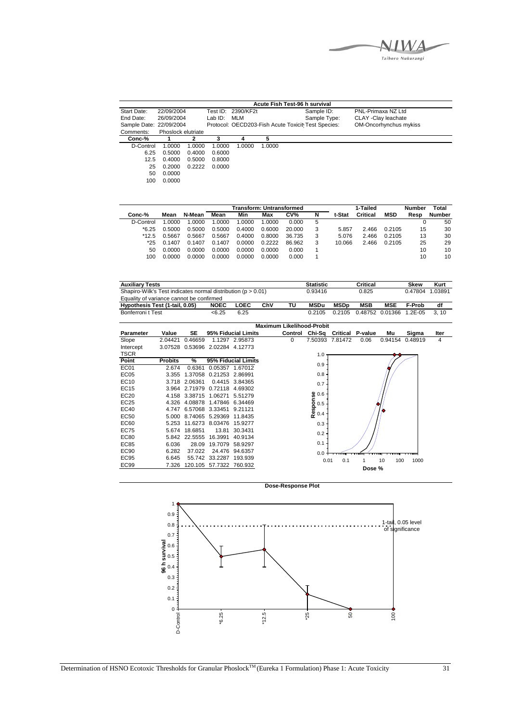Taihoro Nukurangi

|                         |                    |        |         |                    |        | Acute Fish Test-96 h survival                      |                        |  |
|-------------------------|--------------------|--------|---------|--------------------|--------|----------------------------------------------------|------------------------|--|
| Start Date:             | 22/09/2004         |        |         | Test ID: 2390/KF2t |        | Sample ID:                                         | PNL-Primaxa NZ Ltd     |  |
| End Date:               | 26/09/2004         |        | Lab ID: | <b>MLM</b>         |        | Sample Type:                                       | CLAY -Clay leachate    |  |
| Sample Date: 22/09/2004 |                    |        |         |                    |        | Protocol: OECD203-Fish Acute Toxicit Test Species: | OM-Oncorhynchus mykiss |  |
| Comments:               | Phoslock elutriate |        |         |                    |        |                                                    |                        |  |
| Conc-%                  |                    | 2      |         | 4                  |        |                                                    |                        |  |
| D-Control               | 1.0000             | 1.0000 | 1.0000  | 1.0000             | 1.0000 |                                                    |                        |  |
| 6.25                    | 0.5000             | 0.4000 | 0.6000  |                    |        |                                                    |                        |  |
| 12.5                    | 0.4000             | 0.5000 | 0.8000  |                    |        |                                                    |                        |  |
| 25                      | 0.2000             | 0.2222 | 0.0000  |                    |        |                                                    |                        |  |
| 50                      | 0.0000             |        |         |                    |        |                                                    |                        |  |
| 100                     | 0.0000             |        |         |                    |        |                                                    |                        |  |

|           |        |        |        | Transform: Untransformed |        |                 |   |        | 1-Tailed |            | <b>Number</b> | Total  |
|-----------|--------|--------|--------|--------------------------|--------|-----------------|---|--------|----------|------------|---------------|--------|
| Conc-%    | Mean   | N-Mean | Mean   | Min                      | Max    | CV <sub>0</sub> | N | t-Stat | Critical | <b>MSD</b> | Resp          | Number |
| D-Control | 1.0000 | 1.0000 | 1.0000 | .0000                    | 0000   | 0.000           | 5 |        |          |            | υ             | 50     |
| $*6.25$   | 0.5000 | 0.5000 | 0.5000 | 0.4000                   | 0.6000 | 20.000          | 3 | 5.857  | 2.466    | 0.2105     | 15            | 30     |
| $*12.5$   | 0.5667 | 0.5667 | 0.5667 | 0.4000                   | 0.8000 | 36.735          | 3 | 5.076  | 2.466    | 0.2105     | 13            | 30     |
| $*25$     | 0.1407 | 0.1407 | 0.1407 | 0.0000                   | 0.2222 | 86.962          | 3 | 10.066 | 2.466    | 0.2105     | 25            | 29     |
| 50        | 0.0000 | 0.0000 | 0.0000 | 0.0000                   | 0.0000 | 0.000           |   |        |          |            | 10            | 10     |
| 100       | 0.0000 | 0.0000 | 0.0000 | 0.0000                   | 0.0000 | 0.000           |   |        |          |            | 10            | 10     |

| <b>Auxiliary Tests</b>                                           |                |               |                         |                     |     |                                  | <b>Statistic</b>                |                 | <b>Critical</b> |            | <b>Skew</b> | Kurt    |
|------------------------------------------------------------------|----------------|---------------|-------------------------|---------------------|-----|----------------------------------|---------------------------------|-----------------|-----------------|------------|-------------|---------|
| Shapiro-Wilk's Test indicates normal distribution ( $p > 0.01$ ) |                |               |                         |                     |     |                                  | 0.93416                         |                 | 0.825           |            | 0.47804     | 1.03891 |
| Equality of variance cannot be confirmed                         |                |               |                         |                     |     |                                  |                                 |                 |                 |            |             |         |
| Hypothesis Test (1-tail, 0.05)                                   |                |               | <b>NOEC</b>             | LOEC                | ChV | ΤU                               | <b>MSDu</b>                     | <b>MSDp</b>     | <b>MSB</b>      | <b>MSE</b> | F-Prob      | df      |
| Bonferroni t Test                                                |                |               | < 6.25                  | 6.25                |     |                                  | 0.2105                          | 0.2105          | 0.48752         | 0.01366    | $1.2E-05$   | 3, 10   |
|                                                                  |                |               |                         |                     |     |                                  |                                 |                 |                 |            |             |         |
|                                                                  |                |               |                         |                     |     | <b>Maximum Likelihood-Probit</b> |                                 |                 |                 |            |             |         |
| Parameter                                                        | Value          | <b>SE</b>     |                         | 95% Fiducial Limits |     |                                  | Control Chi-Sq Critical P-value |                 |                 | Mu         | Sigma       | Iter    |
| Slope                                                            | 2.04421        | 0.46659       |                         | 1.1297 2.95873      |     | $\Omega$                         |                                 | 7.50393 7.81472 | 0.06            | 0.94154    | 0.48919     | 4       |
| Intercept                                                        | 3.07528        |               | 0.53696 2.02284 4.12773 |                     |     |                                  |                                 |                 |                 |            |             |         |
| <b>TSCR</b>                                                      |                |               |                         |                     |     |                                  | 1.0                             |                 |                 |            |             |         |
| Point                                                            | <b>Probits</b> | %             |                         | 95% Fiducial Limits |     |                                  | 0.9                             |                 |                 |            |             |         |
| EC <sub>01</sub>                                                 | 2.674          | 0.6361        |                         | 0.05357 1.67012     |     |                                  |                                 |                 |                 |            |             |         |
| EC <sub>05</sub>                                                 | 3.355          |               | 1.37058 0.21253 2.86991 |                     |     |                                  | 0.8                             |                 |                 |            |             |         |
| EC10                                                             | 3.718          | 2.06361       |                         | 0.4415 3.84365      |     |                                  | 0.7                             |                 |                 |            |             |         |
| <b>EC15</b>                                                      |                | 3.964 2.71979 |                         | 0.72118 4.69302     |     |                                  |                                 |                 |                 |            |             |         |
| EC20                                                             |                | 4.158 3.38715 | 1.06271                 | 5.51279             |     |                                  |                                 |                 |                 |            |             |         |
| EC25                                                             |                |               | 4.326 4.08878 1.47846   | 6.34469             |     |                                  |                                 |                 |                 |            |             |         |
| <b>EC40</b>                                                      | 4.747          |               | 6.57068 3.33451         | 9.21121             |     |                                  | Response<br>$0.5$<br>$0.4$      |                 |                 |            |             |         |
| <b>EC50</b>                                                      | 5.000          |               | 8.74065 5.29369         | 11.8435             |     |                                  |                                 |                 |                 |            |             |         |
| EC60                                                             | 5.253          |               | 11.6273 8.03476         | 15.9277             |     |                                  | 0.3                             |                 |                 |            |             |         |
| <b>EC75</b>                                                      | 5.674          | 18.6851       | 13.81                   | 30.3431             |     |                                  | 0.2                             |                 |                 |            |             |         |
| <b>EC80</b>                                                      |                | 5.842 22.5555 | 16.3991                 | 40.9134             |     |                                  |                                 |                 |                 |            |             |         |
| <b>EC85</b>                                                      | 6.036          | 28.09         | 19.7079                 | 58.9297             |     |                                  | 0.1                             |                 |                 |            |             |         |
| <b>EC90</b>                                                      | 6.282          | 37.022        | 24.476                  | 94.6357             |     |                                  | 0.0                             |                 |                 |            |             |         |
| <b>EC95</b>                                                      | 6.645          |               | 55.742 33.2287          | 193.939             |     |                                  | 0.01                            | 0.1             | 1               | 10<br>100  | 1000        |         |
| <b>EC99</b>                                                      | 7.326          |               | 120.105 57.7322         | 760.932             |     |                                  |                                 |                 |                 |            |             |         |
|                                                                  |                |               |                         |                     |     |                                  |                                 |                 | Dose %          |            |             |         |

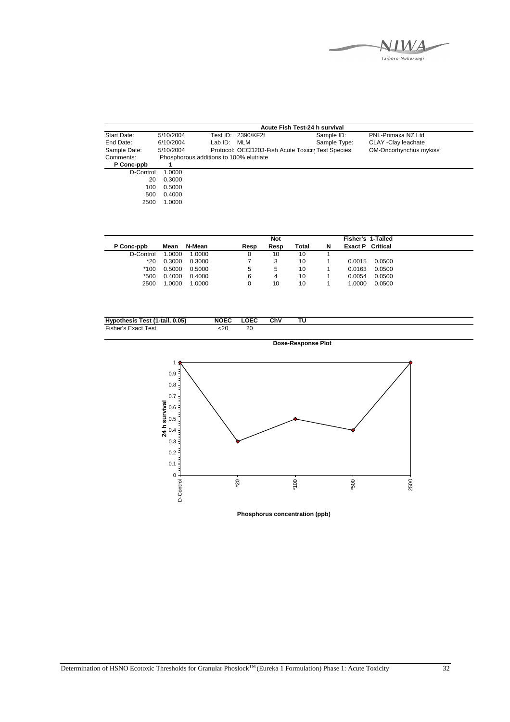

|              |           |                                         |                    | Acute Fish Test-24 h survival                      |                        |
|--------------|-----------|-----------------------------------------|--------------------|----------------------------------------------------|------------------------|
| Start Date:  | 5/10/2004 |                                         | Test ID: 2390/KF2f | Sample ID:                                         | PNL-Primaxa NZ Ltd     |
| End Date:    | 6/10/2004 | Lab ID:                                 | MLM                | Sample Type:                                       | CLAY - Clay leachate   |
| Sample Date: | 5/10/2004 |                                         |                    | Protocol: OECD203-Fish Acute Toxicit Test Species: | OM-Oncorhynchus mykiss |
| Comments:    |           | Phosphorous additions to 100% elutriate |                    |                                                    |                        |
| P Conc-ppb   |           |                                         |                    |                                                    |                        |
| D-Control    | 1.0000    |                                         |                    |                                                    |                        |
| 20           | 0.3000    |                                         |                    |                                                    |                        |
| 100          | 0.5000    |                                         |                    |                                                    |                        |
| 500          | 0.4000    |                                         |                    |                                                    |                        |
| 2500         | 1.0000    |                                         |                    |                                                    |                        |

|            |        |        |      | <b>Not</b> |       |   | <b>Fisher's 1-Tailed</b> |        |
|------------|--------|--------|------|------------|-------|---|--------------------------|--------|
| P Conc-ppb | Mean   | N-Mean | Resp | Resp       | Total | N | <b>Exact P</b> Critical  |        |
| D-Control  | 1.0000 | 1.0000 |      | 10         | 10    |   |                          |        |
| $*20$      | 0.3000 | 0.3000 |      | 3          | 10    |   | 0.0015                   | 0.0500 |
| $*100$     | 0.5000 | 0.5000 | 5    | 5          | 10    |   | 0.0163                   | 0.0500 |
| $*500$     | 0.4000 | 0.4000 | 6    | 4          | 10    |   | 0.0054                   | 0.0500 |
| 2500       | 1.0000 | 1.0000 |      | 10         | 10    |   | 1.0000                   | 0.0500 |

| 0.05)<br>1-tail.<br>Test (1<br>Hvm<br>hesis | <b>NOEC</b> | OFC.<br>-55 | ChV | τu |  |
|---------------------------------------------|-------------|-------------|-----|----|--|
| $- \cdot$<br>Test<br>-isher<br>Exact<br>151 | :2۲         | 20          |     |    |  |



**Phosphorus concentration (ppb)**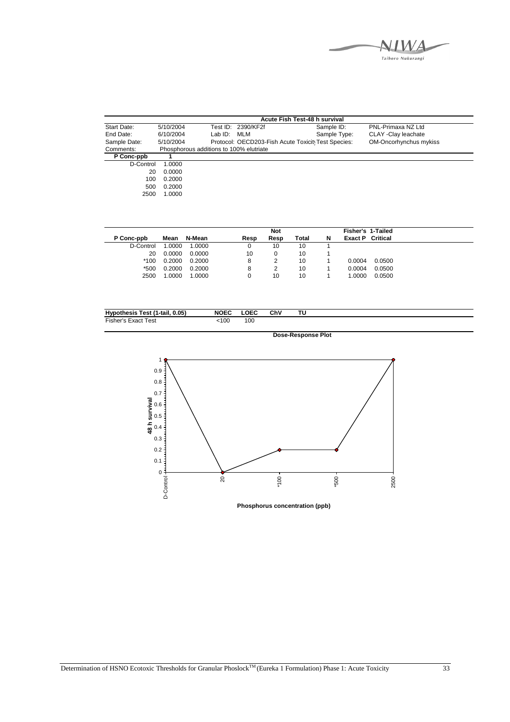

| Acute Fish Test-48 h survival |                                         |         |                                                    |              |                        |  |  |  |  |
|-------------------------------|-----------------------------------------|---------|----------------------------------------------------|--------------|------------------------|--|--|--|--|
| Start Date:                   | 5/10/2004                               |         | Test ID: 2390/KF2f                                 | Sample ID:   | PNL-Primaxa NZ Ltd     |  |  |  |  |
| End Date:                     | 6/10/2004                               | Lab ID: | MLM                                                | Sample Type: | CLAY - Clay leachate   |  |  |  |  |
| Sample Date:                  | 5/10/2004                               |         | Protocol: OECD203-Fish Acute Toxicit Test Species: |              | OM-Oncorhynchus mykiss |  |  |  |  |
| Comments:                     | Phosphorous additions to 100% elutriate |         |                                                    |              |                        |  |  |  |  |
| P Conc-ppb                    |                                         |         |                                                    |              |                        |  |  |  |  |
| D-Control                     | 1.0000                                  |         |                                                    |              |                        |  |  |  |  |
| 20                            | 0.0000                                  |         |                                                    |              |                        |  |  |  |  |
| 100                           | 0.2000                                  |         |                                                    |              |                        |  |  |  |  |
| 500                           | 0.2000                                  |         |                                                    |              |                        |  |  |  |  |
| 2500                          | 1.0000                                  |         |                                                    |              |                        |  |  |  |  |

|            |        |        |      | <b>Not</b> |       |   | <b>Fisher's 1-Tailed</b> |        |
|------------|--------|--------|------|------------|-------|---|--------------------------|--------|
| P Conc-ppb | Mean   | N-Mean | Resp | Resp       | Total | N | <b>Exact P</b> Critical  |        |
| D-Control  | 1.0000 | 1.0000 |      | 10         | 10    |   |                          |        |
| 20         | 0.0000 | 0.0000 | 10   |            | 10    |   |                          |        |
| $*100$     | 0.2000 | 0.2000 | 8    |            | 10    |   | 0.0004                   | 0.0500 |
| *500       | 0.2000 | 0.2000 | 8    |            | 10    |   | 0.0004                   | 0.0500 |
| 2500       | 1.0000 | 1.0000 |      | 10         | 10    |   | 1.0000                   | 0.0500 |

| 0.05)<br>. .<br>Test (1-tail,<br><b>Hypothesis</b> | LOEC<br><b>NOEC</b> | ChV<br>тυ |
|----------------------------------------------------|---------------------|-----------|
| risher<br>Test<br>Exact                            | 00<br>:100          |           |



**Phosphorus concentration (ppb)**